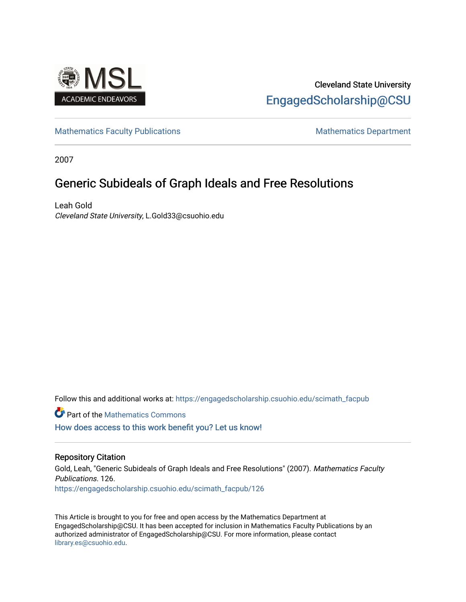

# Cleveland State University [EngagedScholarship@CSU](https://engagedscholarship.csuohio.edu/)

[Mathematics Faculty Publications](https://engagedscholarship.csuohio.edu/scimath_facpub) Mathematics Department

2007

# Generic Subideals of Graph Ideals and Free Resolutions

Leah Gold Cleveland State University, L.Gold33@csuohio.edu

Follow this and additional works at: [https://engagedscholarship.csuohio.edu/scimath\\_facpub](https://engagedscholarship.csuohio.edu/scimath_facpub?utm_source=engagedscholarship.csuohio.edu%2Fscimath_facpub%2F126&utm_medium=PDF&utm_campaign=PDFCoverPages)

Part of the [Mathematics Commons](http://network.bepress.com/hgg/discipline/174?utm_source=engagedscholarship.csuohio.edu%2Fscimath_facpub%2F126&utm_medium=PDF&utm_campaign=PDFCoverPages)

[How does access to this work benefit you? Let us know!](http://library.csuohio.edu/engaged/)

## Repository Citation

Gold, Leah, "Generic Subideals of Graph Ideals and Free Resolutions" (2007). Mathematics Faculty Publications. 126. [https://engagedscholarship.csuohio.edu/scimath\\_facpub/126](https://engagedscholarship.csuohio.edu/scimath_facpub/126?utm_source=engagedscholarship.csuohio.edu%2Fscimath_facpub%2F126&utm_medium=PDF&utm_campaign=PDFCoverPages) 

This Article is brought to you for free and open access by the Mathematics Department at EngagedScholarship@CSU. It has been accepted for inclusion in Mathematics Faculty Publications by an authorized administrator of EngagedScholarship@CSU. For more information, please contact [library.es@csuohio.edu.](mailto:library.es@csuohio.edu)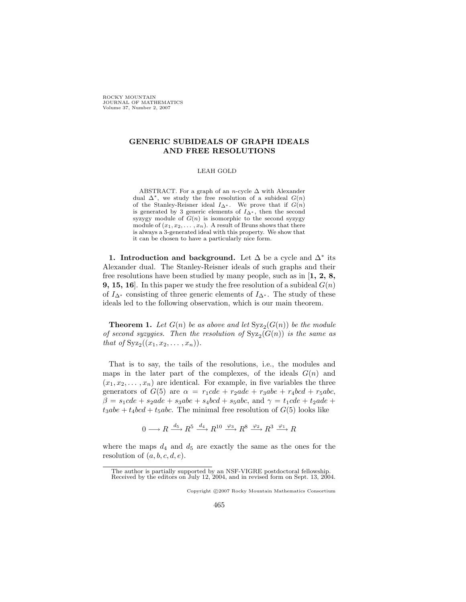**ROCKY MOUNTAIN** JOURNAL OF MATHEMATICS<br>Volume 37, Number 2, 2007

### **GENERIC SUBIDEALS OF GRAPH IDEALS AND FREE RESOLUTIONS**

#### LEAH GOLD

ABSTRACT. For a graph of an *n*-cycle Δ with Alexander dual  $\Delta^*$ , we study the free resolution of a subideal  $G(n)$ of the Stanley-Reisner ideal  $I_{\Delta^*}$ . We prove that if  $G(n)$ <br>is generated by 3 generic elements of  $I_{\Delta^*}$  then the second is generated by 3 generic elements of  $I_{\Delta^*}$ , then the second<br>syzygy module of  $G(n)$  is isomorphic to the second syzygy syzygy module of  $G(n)$  is isomorphic to the second syzygy module of  $(x_1, x_2, \ldots, x_n)$ . A result of Bruns shows that there is always a 3-generated ideal with this property. We show that it can be chosen to have a particularly nice form.

**1. Introduction and background.** Let  $\Delta$  be a cycle and  $\Delta^*$  its Alexander dual. The Stanley-Reisner ideals of such graphs and their free resolutions have been studied by many people, such as in [**1, 2, 8, 9, 15, 16**. In this paper we study the free resolution of a subideal  $G(n)$ of  $I_{\Delta^*}$  consisting of three generic elements of  $I_{\Delta^*}$ . The study of these ideals led to the following observation, which is our main theorem.

**Theorem 1.** Let  $G(n)$  be as above and let  $Syz<sub>2</sub>(G(n))$  be the module *of second syzygies. Then the resolution of*  $Syz<sub>2</sub>(G(n))$  *is the same as that of*  $Syz_2((x_1, x_2, \ldots, x_n))$ *.* 

That is to say, the tails of the resolutions, i.e., the modules and maps in the later part of the complexes, of the ideals  $G(n)$  and  $(x_1, x_2, \ldots, x_n)$  are identical. For example, in five variables the three generators of  $G(5)$  are  $\alpha = r_1cde + r_2ade + r_3abe + r_4bcd + r_5abc$ ,  $\beta = s_1cde + s_2ade + s_3abe + s_4bcd + s_5abc$ , and  $\gamma = t_1cde + t_2ade +$  $t_3$ abe +  $t_4$ bcd +  $t_5$ abc. The minimal free resolution of  $G(5)$  looks like

$$
0 \longrightarrow R \xrightarrow{d_5} R^5 \xrightarrow{d_4} R^{10} \xrightarrow{\varphi_3} R^8 \xrightarrow{\varphi_2} R^3 \xrightarrow{\varphi_1} R
$$

where the maps  $d_4$  and  $d_5$  are exactly the same as the ones for the resolution of  $(a, b, c, d, e)$ .

The author is partially supported by an NSF-VIGRE postdoctoral fellowship. Received by the editors on July 12, 2004, and in revised form on Sept. 13, 2004.

Copyright C 2007 Rocky Mountain Mathematics Consortium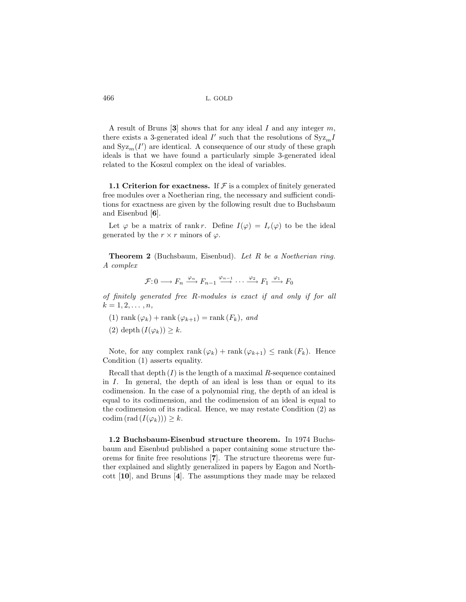A result of Bruns [**3**] shows that for any ideal I and any integer m, there exists a 3-generated ideal  $I'$  such that the resolutions of  $Syz_mI$ and  $\operatorname{Syz}_m(I')$  are identical. A consequence of our study of these graph ideals is that we have found a particularly simple 3-generated ideal related to the Koszul complex on the ideal of variables.

**1.1 Criterion for exactness.** If  $\mathcal F$  is a complex of finitely generated free modules over a Noetherian ring, the necessary and sufficient conditions for exactness are given by the following result due to Buchsbaum and Eisenbud [**6**].

Let  $\varphi$  be a matrix of rank r. Define  $I(\varphi) = I_r(\varphi)$  to be the ideal generated by the  $r \times r$  minors of  $\varphi$ .

**Theorem 2** (Buchsbaum, Eisenbud). *Let* R *be a Noetherian ring. A complex*

$$
\mathcal{F}: 0 \longrightarrow F_n \xrightarrow{\varphi_n} F_{n-1} \xrightarrow{\varphi_{n-1}} \cdots \xrightarrow{\varphi_2} F_1 \xrightarrow{\varphi_1} F_0
$$

*of finitely generated free* R*-modules is exact if and only if for all*  $k = 1, 2, \ldots, n$ 

- (1) rank  $(\varphi_k)$  + rank  $(\varphi_{k+1})$  = rank  $(F_k)$ *, and*
- (2) depth  $(I(\varphi_k)) \geq k$ .

Note, for any complex rank  $(\varphi_k)$  + rank  $(\varphi_{k+1}) \leq \text{rank}(F_k)$ . Hence Condition (1) asserts equality.

Recall that depth  $(I)$  is the length of a maximal R-sequence contained in I. In general, the depth of an ideal is less than or equal to its codimension. In the case of a polynomial ring, the depth of an ideal is equal to its codimension, and the codimension of an ideal is equal to the codimension of its radical. Hence, we may restate Condition (2) as codim  $(\text{rad} (I(\varphi_k))) \geq k$ .

**1.2 Buchsbaum-Eisenbud structure theorem.** In 1974 Buchsbaum and Eisenbud published a paper containing some structure theorems for finite free resolutions [**7**]. The structure theorems were further explained and slightly generalized in papers by Eagon and Northcott [**10**], and Bruns [**4**]. The assumptions they made may be relaxed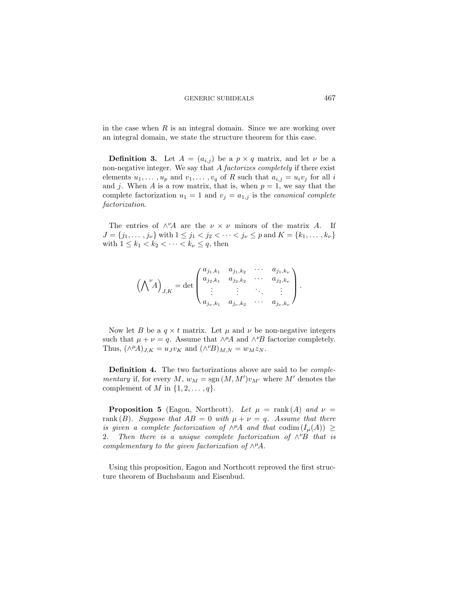in the case when  $R$  is an integral domain. Since we are working over an integral domain, we state the structure theorem for this case.

**Definition 3.** Let  $A = (a_{i,j})$  be a  $p \times q$  matrix, and let  $\nu$  be a non-negative integer. We say that A *factorizes completely* if there exist elements  $u_1, \ldots, u_p$  and  $v_1, \ldots, v_q$  of R such that  $a_{i,j} = u_i v_j$  for all i and j. When A is a row matrix, that is, when  $p = 1$ , we say that the complete factorization  $u_1 = 1$  and  $v_j = a_{1,j}$  is the *canonical complete factorization*.

The entries of  $\wedge^{\nu}A$  are the  $\nu \times \nu$  minors of the matrix A. If  $J = \{j_1, \ldots, j_\nu\}$  with  $1 \le j_1 < j_2 < \cdots < j_\nu \le p$  and  $K = \{k_1, \ldots, k_\nu\}$ with  $1 \leq k_1 < k_2 < \cdots < k_{\nu} \leq q$ , then

$$
\left(\bigwedge\nolimits^{\nu} A\right)_{J,K} = \det \begin{pmatrix} a_{j_1,k_1} & a_{j_1,k_2} & \cdots & a_{j_1,k_{\nu}} \\ a_{j_2,k_1} & a_{j_2,k_2} & \cdots & a_{j_2,k_{\nu}} \\ \vdots & \vdots & \ddots & \vdots \\ a_{j_{\nu},k_1} & a_{j_{\nu},k_2} & \cdots & a_{j_{\nu},k_{\nu}} \end{pmatrix}.
$$

Now let B be a  $q \times t$  matrix. Let  $\mu$  and  $\nu$  be non-negative integers such that  $\mu + \nu = q$ . Assume that  $\wedge^{\mu}A$  and  $\wedge^{\nu}B$  factorize completely. Thus,  $(\wedge^{\mu}A)_{J,K} = u_J v_K$  and  $(\wedge^{\nu}B)_{M,N} = w_M z_N$ .

**Definition 4.** The two factorizations above are said to be *complementary* if, for every  $M$ ,  $w_M = \text{sgn}(M, M')v_{M'}$  where  $M'$  denotes the complement of M in  $\{1, 2, \ldots, q\}.$ 

**Proposition 5** (Eagon, Northcott). Let  $\mu$  = rank (A) and  $\nu$  = rank  $(B)$ *. Suppose that*  $AB = 0$  *with*  $\mu + \nu = q$ *. Assume that there is given a complete factorization of*  $\wedge^{\mu}A$  *and that* codim  $(I_{\mu}(A)) \ge$ 2. Then there is a unique complete factorization of ∧<sup>*v*</sup>B that is *complementary to the given factorization of*  $\wedge^{\mu}A$ *.* 

Using this proposition, Eagon and Northcott reproved the first structure theorem of Buchsbaum and Eisenbud.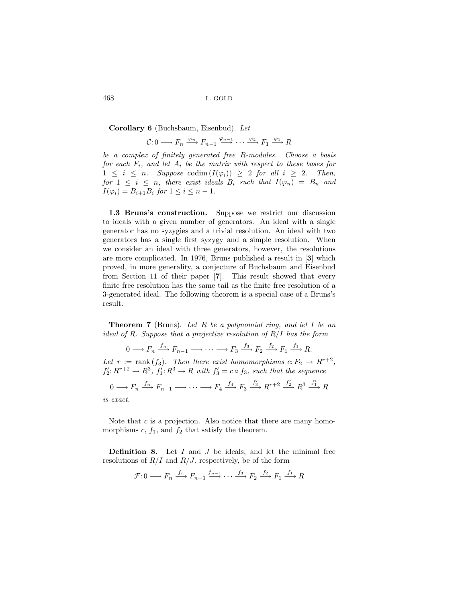**Corollary 6** (Buchsbaum, Eisenbud). *Let*

$$
\mathcal{C}: 0 \longrightarrow F_n \xrightarrow{\varphi_n} F_{n-1} \xrightarrow{\varphi_{n-1}} \cdots \xrightarrow{\varphi_2} F_1 \xrightarrow{\varphi_1} R
$$

*be a complex of finitely generated free* R*-modules. Choose a basis for each*  $F_i$ *, and let*  $A_i$  *be the matrix with respect to these bases for*  $1 \leq i \leq n$ . Suppose codim  $(I(\varphi_i)) \geq 2$  *for all*  $i \geq 2$ . Then, *for*  $1 \leq i \leq n$ *, there exist ideals*  $B_i$  *such that*  $I(\varphi_n) = B_n$  *and*  $I(\varphi_i) = B_{i+1}B_i \text{ for } 1 \leq i \leq n-1.$ 

**1.3 Bruns's construction.** Suppose we restrict our discussion to ideals with a given number of generators. An ideal with a single generator has no syzygies and a trivial resolution. An ideal with two generators has a single first syzygy and a simple resolution. When we consider an ideal with three generators, however, the resolutions are more complicated. In 1976, Bruns published a result in [**3**] which proved, in more generality, a conjecture of Buchsbaum and Eisenbud from Section 11 of their paper [**7**]. This result showed that every finite free resolution has the same tail as the finite free resolution of a 3-generated ideal. The following theorem is a special case of a Bruns's result.

**Theorem 7** (Bruns). *Let* R *be a polynomial ring, and let* I *be an ideal of* R*. Suppose that a projective resolution of* R/I *has the form*

$$
0 \longrightarrow F_n \xrightarrow{f_n} F_{n-1} \longrightarrow \cdots \longrightarrow F_3 \xrightarrow{f_3} F_2 \xrightarrow{f_2} F_1 \xrightarrow{f_1} R.
$$

*Let*  $r := \text{rank}(f_3)$ *. Then there exist homomorphisms*  $c: F_2 \to R^{r+2}$ ,  $f_2' : R^{r+2} \to R^3$ ,  $f_1' : R^3 \to R$  with  $f_3' = c \circ f_3$ , such that the sequence

$$
0 \longrightarrow F_n \xrightarrow{f_n} F_{n-1} \longrightarrow \cdots \longrightarrow F_4 \xrightarrow{f_4} F_3 \xrightarrow{f'_3} R^{r+2} \xrightarrow{f'_2} R^3 \xrightarrow{f'_1} R
$$

*is exact.*

Note that  $c$  is a projection. Also notice that there are many homomorphisms  $c, f_1$ , and  $f_2$  that satisfy the theorem.

**Definition 8.** Let I and J be ideals, and let the minimal free resolutions of  $R/I$  and  $R/J$ , respectively, be of the form

$$
\mathcal{F}: 0 \longrightarrow F_n \xrightarrow{f_n} F_{n-1} \xrightarrow{f_{n-1}} \cdots \xrightarrow{f_3} F_2 \xrightarrow{f_2} F_1 \xrightarrow{f_1} R
$$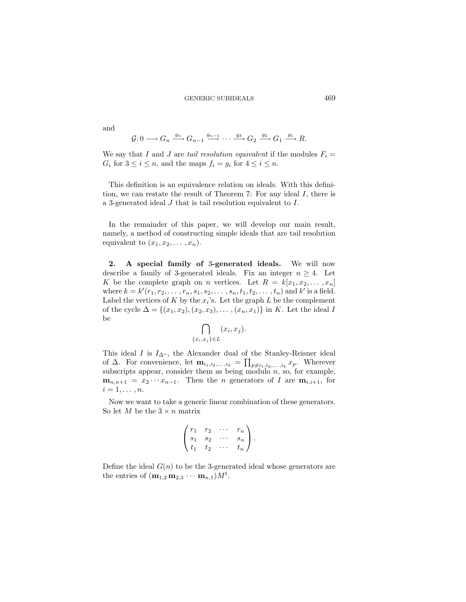and

$$
\mathcal{G}: 0 \longrightarrow G_n \xrightarrow{g_n} G_{n-1} \xrightarrow{g_{n-1}} \cdots \xrightarrow{g_3} G_2 \xrightarrow{g_2} G_1 \xrightarrow{g_1} R.
$$

We say that I and J are *tail resolution equivalent* if the modules  $F_i =$  $G_i$  for  $3 \leq i \leq n$ , and the maps  $f_i = g_i$  for  $4 \leq i \leq n$ .

This definition is an equivalence relation on ideals. With this definition, we can restate the result of Theorem 7: For any ideal I, there is a 3-generated ideal J that is tail resolution equivalent to I.

In the remainder of this paper, we will develop our main result, namely, a method of constructing simple ideals that are tail resolution equivalent to  $(x_1, x_2, \ldots, x_n)$ .

**2. A special family of** 3**-generated ideals.** We will now describe a family of 3-generated ideals. Fix an integer  $n \geq 4$ . Let K be the complete graph on n vertices. Let  $R = k[x_1, x_2, \ldots, x_n]$ where  $k = k'(r_1, r_2, \ldots, r_n, s_1, s_2, \ldots, s_n, t_1, t_2, \ldots, t_n)$  and  $k'$  is a field. Label the vertices of K by the  $x_i$ 's. Let the graph L be the complement of the cycle  $\Delta = \{(x_1, x_2), (x_2, x_3), \ldots, (x_n, x_1)\}\$ in K. Let the ideal I be

$$
\bigcap_{\{x_i,x_j\}\in L} (x_i,x_j).
$$

This ideal I is  $I_{\Delta^*}$ , the Alexander dual of the Stanley-Reisner ideal of  $\Delta$ . For convenience, let  $\mathbf{m}_{i_1,i_2,...,i_k} = \prod_{p \neq i_1,i_2,...,i_k} x_p$ . Wherever subscripts appear, consider them as being modulo  $n$ , so, for example,  $\mathbf{m}_{n,n+1} = x_2 \cdots x_{n-1}$ . Then the *n* generators of *I* are  $\mathbf{m}_{i,i+1}$ , for  $i=1,\ldots,n$ .

Now we want to take a generic linear combination of these generators. So let M be the  $3 \times n$  matrix

$$
\begin{pmatrix} r_1 & r_2 & \cdots & r_n \\ s_1 & s_2 & \cdots & s_n \\ t_1 & t_2 & \cdots & t_n \end{pmatrix}.
$$

Define the ideal  $G(n)$  to be the 3-generated ideal whose generators are the entries of  $(\mathbf{m}_{1,2} \mathbf{m}_{2,3} \cdots \mathbf{m}_{n,1}) M^t$ .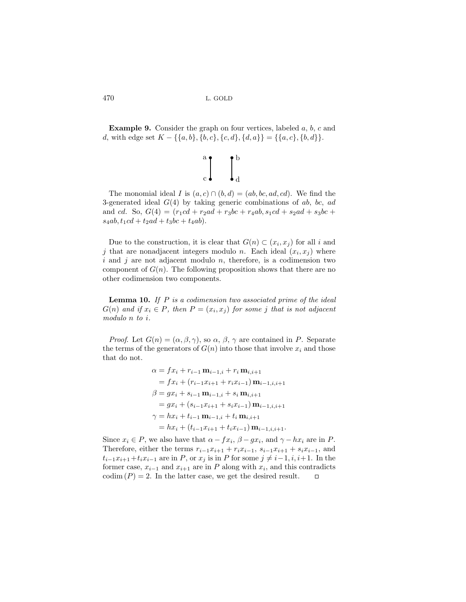**Example 9.** Consider the graph on four vertices, labeled a, b, c and d, with edge set  $K - \{\{a, b\}, \{b, c\}, \{c, d\}, \{d, a\}\} = \{\{a, c\}, \{b, d\}\}.$ 

$$
\bigg\|_{c}^{a} \bigg\|_{c}^{b} \qquad \bigg\|_{d}^{b}
$$

The monomial ideal I is  $(a, c) \cap (b, d) = (ab, bc, ad, cd)$ . We find the 3-generated ideal  $G(4)$  by taking generic combinations of ab, bc, ad and cd. So,  $G(4) = (r_1cd + r_2ad + r_3bc + r_4ab, s_1cd + s_2ad + s_3bc +$  $s_4ab, t_1cd + t_2ad + t_3bc + t_4ab$ .

Due to the construction, it is clear that  $G(n) \subset (x_i, x_j)$  for all i and j that are nonadjacent integers modulo n. Each ideal  $(x_i, x_j)$  where i and j are not adjacent modulo n, therefore, is a codimension two component of  $G(n)$ . The following proposition shows that there are no other codimension two components.

**Lemma 10.** *If* P *is a codimension two associated prime of the ideal*  $G(n)$  *and if*  $x_i \in P$ *, then*  $P = (x_i, x_j)$  *for some j that is not adjacent modulo* n *to* i*.*

*Proof.* Let  $G(n) = (\alpha, \beta, \gamma)$ , so  $\alpha, \beta, \gamma$  are contained in P. Separate the terms of the generators of  $G(n)$  into those that involve  $x_i$  and those that do not.

$$
\alpha = fx_i + r_{i-1} \mathbf{m}_{i-1,i} + r_i \mathbf{m}_{i,i+1}
$$
  
= 
$$
fx_i + (r_{i-1}x_{i+1} + r_ix_{i-1}) \mathbf{m}_{i-1,i,i+1}
$$
  

$$
\beta = gx_i + s_{i-1} \mathbf{m}_{i-1,i} + s_i \mathbf{m}_{i,i+1}
$$
  
= 
$$
gx_i + (s_{i-1}x_{i+1} + s_ix_{i-1}) \mathbf{m}_{i-1,i,i+1}
$$
  

$$
\gamma = hx_i + t_{i-1} \mathbf{m}_{i-1,i} + t_i \mathbf{m}_{i,i+1}
$$
  
= 
$$
hx_i + (t_{i-1}x_{i+1} + t_ix_{i-1}) \mathbf{m}_{i-1,i,i+1}.
$$

Since  $x_i \in P$ , we also have that  $\alpha - f x_i$ ,  $\beta - g x_i$ , and  $\gamma - h x_i$  are in P. Therefore, either the terms  $r_{i-1}x_{i+1} + r_ix_{i-1}$ ,  $s_{i-1}x_{i+1} + s_ix_{i-1}$ , and  $t_{i-1}x_{i+1}+t_ix_{i-1}$  are in P, or  $x_j$  is in P for some  $j \neq i-1, i, i+1$ . In the former case,  $x_{i-1}$  and  $x_{i+1}$  are in P along with  $x_i$ , and this contradicts  $\text{codim}(P) = 2$ . In the latter case, we get the desired result.  $\Box$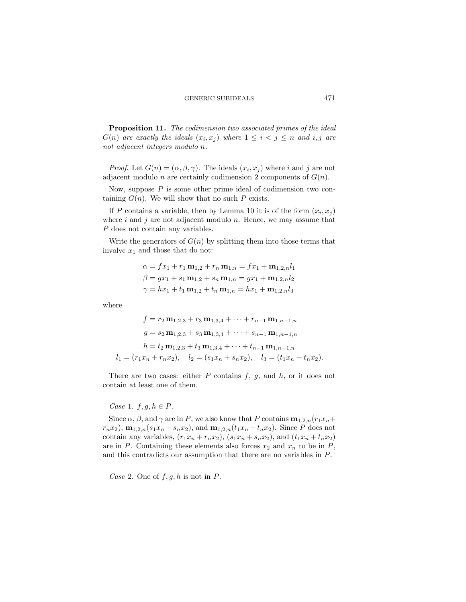**Proposition 11.** *The codimension two associated primes of the ideal*  $G(n)$  *are exactly the ideals*  $(x_i, x_j)$  *where*  $1 \leq i < j \leq n$  *and i, j are not adjacent integers modulo* n*.*

*Proof.* Let  $G(n) = (\alpha, \beta, \gamma)$ . The ideals  $(x_i, x_j)$  where i and j are not adjacent modulo *n* are certainly codimension 2 components of  $G(n)$ .

Now, suppose  $P$  is some other prime ideal of codimension two containing  $G(n)$ . We will show that no such P exists.

If P contains a variable, then by Lemma 10 it is of the form  $(x_i, x_j)$ where  $i$  and  $j$  are not adjacent modulo  $n$ . Hence, we may assume that P does not contain any variables.

Write the generators of  $G(n)$  by splitting them into those terms that involve  $x_1$  and those that do not:

$$
\alpha = fx_1 + r_1 \mathbf{m}_{1,2} + r_n \mathbf{m}_{1,n} = fx_1 + \mathbf{m}_{1,2,n} l_1
$$
  

$$
\beta = gx_1 + s_1 \mathbf{m}_{1,2} + s_n \mathbf{m}_{1,n} = gx_1 + \mathbf{m}_{1,2,n} l_2
$$
  

$$
\gamma = hx_1 + t_1 \mathbf{m}_{1,2} + t_n \mathbf{m}_{1,n} = hx_1 + \mathbf{m}_{1,2,n} l_3
$$

where

$$
f = r_2 \mathbf{m}_{1,2,3} + r_3 \mathbf{m}_{1,3,4} + \dots + r_{n-1} \mathbf{m}_{1,n-1,n}
$$
  
\n
$$
g = s_2 \mathbf{m}_{1,2,3} + s_3 \mathbf{m}_{1,3,4} + \dots + s_{n-1} \mathbf{m}_{1,n-1,n}
$$
  
\n
$$
h = t_2 \mathbf{m}_{1,2,3} + t_3 \mathbf{m}_{1,3,4} + \dots + t_{n-1} \mathbf{m}_{1,n-1,n}
$$
  
\n
$$
l_1 = (r_1 x_n + r_n x_2), \quad l_2 = (s_1 x_n + s_n x_2), \quad l_3 = (t_1 x_n + t_n x_2).
$$

There are two cases: either  $P$  contains  $f, g$ , and  $h$ , or it does not contain at least one of them.

### *Case* 1.  $f, g, h \in P$ .

Since  $\alpha$ ,  $\beta$ , and  $\gamma$  are in P, we also know that P contains  $\mathbf{m}_{1,2,n}(r_1x_n+\mathbf{m})$  $r_nx_2$ ,  $\mathbf{m}_{1,2,n}(s_1x_n + s_nx_2)$ , and  $\mathbf{m}_{1,2,n}(t_1x_n + t_nx_2)$ . Since P does not contain any variables,  $(r_1x_n + r_nx_2)$ ,  $(s_1x_n + s_nx_2)$ , and  $(t_1x_n + t_nx_2)$ are in P. Containing these elements also forces  $x_2$  and  $x_n$  to be in P, and this contradicts our assumption that there are no variables in P.

*Case* 2. One of  $f, g, h$  is not in  $P$ .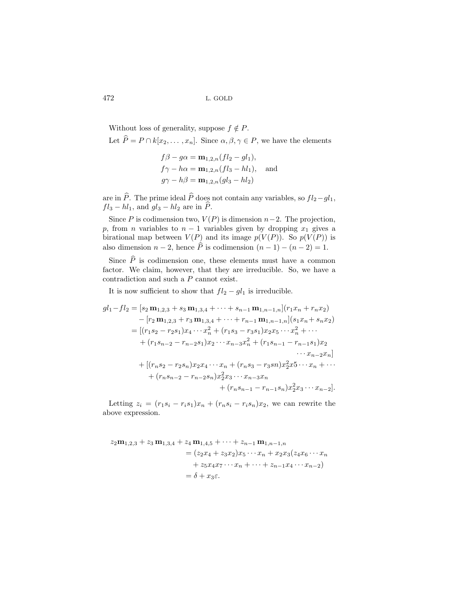Without loss of generality, suppose  $f \notin P$ . Let  $\widehat{P} = P \cap k[x_2, \ldots, x_n]$ . Since  $\alpha, \beta, \gamma \in P$ , we have the elements

$$
f\beta - g\alpha = \mathbf{m}_{1,2,n}(fl_2 - gl_1),
$$
  
\n
$$
f\gamma - h\alpha = \mathbf{m}_{1,2,n}(fl_3 - hl_1),
$$
 and  
\n
$$
g\gamma - h\beta = \mathbf{m}_{1,2,n}(gl_3 - hl_2)
$$

are in P. The prime ideal P does not contain any variables, so  $fl_2-gl_1$ ,  $fl_3 - hl_1$ , and  $gl_3 - hl_2$  are in P.

Since P is codimension two,  $V(P)$  is dimension  $n-2$ . The projection, p, from n variables to  $n-1$  variables given by dropping  $x_1$  gives a birational map between  $V(P)$  and its image  $p(V(P))$ . So  $p(V(P))$  is also dimension  $n-2$ , hence P is codimension  $(n-1)-(n-2)=1$ .

Since  $\hat{P}$  is codimension one, these elements must have a common factor. We claim, however, that they are irreducible. So, we have a contradiction and such a P cannot exist.

It is now sufficient to show that  $fl_2 - gl_1$  is irreducible.

$$
gl_1 - fl_2 = [s_2 \mathbf{m}_{1,2,3} + s_3 \mathbf{m}_{1,3,4} + \cdots + s_{n-1} \mathbf{m}_{1,n-1,n}](r_1 x_n + r_n x_2)
$$
  
\n
$$
- [r_2 \mathbf{m}_{1,2,3} + r_3 \mathbf{m}_{1,3,4} + \cdots + r_{n-1} \mathbf{m}_{1,n-1,n}](s_1 x_n + s_n x_2)
$$
  
\n
$$
= [(r_1 s_2 - r_2 s_1) x_4 \cdots x_n^2 + (r_1 s_3 - r_3 s_1) x_2 x_5 \cdots x_n^2 + \cdots
$$
  
\n
$$
+ (r_1 s_{n-2} - r_{n-2} s_1) x_2 \cdots x_{n-3} x_n^2 + (r_1 s_{n-1} - r_{n-1} s_1) x_2
$$
  
\n
$$
\cdots x_{n-2} x_n]
$$
  
\n
$$
+ [(r_n s_2 - r_2 s_n) x_2 x_4 \cdots x_n + (r_n s_3 - r_3 s_n) x_2^2 x_5 \cdots x_n + \cdots
$$
  
\n
$$
+ (r_n s_{n-2} - r_{n-2} s_n) x_2^2 x_3 \cdots x_{n-3} x_n
$$
  
\n
$$
+ (r_n s_{n-1} - r_{n-1} s_n) x_2^2 x_3 \cdots x_{n-2}].
$$

Letting  $z_i = (r_1s_i - r_is_1)x_n + (r_ns_i - r_is_n)x_2$ , we can rewrite the above expression.

$$
z_2 \mathbf{m}_{1,2,3} + z_3 \mathbf{m}_{1,3,4} + z_4 \mathbf{m}_{1,4,5} + \dots + z_{n-1} \mathbf{m}_{1,n-1,n}
$$
  
=  $(z_2 x_4 + z_3 x_2) x_5 \cdots x_n + x_2 x_3 (z_4 x_6 \cdots x_n + z_5 x_4 x_7 \cdots x_n + \cdots + z_{n-1} x_4 \cdots x_{n-2})$   
=  $\delta + x_3 \varepsilon$ .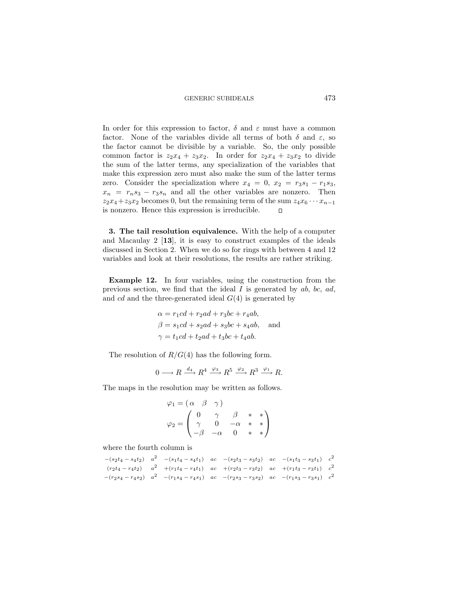In order for this expression to factor,  $\delta$  and  $\varepsilon$  must have a common factor. None of the variables divide all terms of both  $\delta$  and  $\varepsilon$ , so the factor cannot be divisible by a variable. So, the only possible common factor is  $z_2x_4 + z_3x_2$ . In order for  $z_2x_4 + z_3x_2$  to divide the sum of the latter terms, any specialization of the variables that make this expression zero must also make the sum of the latter terms zero. Consider the specialization where  $x_4 = 0$ ,  $x_2 = r_3s_1 - r_1s_3$ ,  $x_n = r_n s_3 - r_3 s_n$  and all the other variables are nonzero. Then  $z_2x_4+z_3x_2$  becomes 0, but the remaining term of the sum  $z_4x_6\cdots x_{n-1}$ is nonzero. Hence this expression is irreducible.  $\Box$ 

**3. The tail resolution equivalence.** With the help of a computer and Macaulay 2 [**13**], it is easy to construct examples of the ideals discussed in Section 2. When we do so for rings with between 4 and 12 variables and look at their resolutions, the results are rather striking.

**Example 12.** In four variables, using the construction from the previous section, we find that the ideal  $I$  is generated by  $ab$ ,  $bc$ ,  $ad$ , and cd and the three-generated ideal  $G(4)$  is generated by

$$
\alpha = r_1cd + r_2ad + r_3bc + r_4ab,
$$
  
\n
$$
\beta = s_1cd + s_2ad + s_3bc + s_4ab,
$$
 and  
\n
$$
\gamma = t_1cd + t_2ad + t_3bc + t_4ab.
$$

The resolution of  $R/G(4)$  has the following form.

$$
0 \longrightarrow R \xrightarrow{d_4} R^4 \xrightarrow{\varphi_3} R^5 \xrightarrow{\varphi_2} R^3 \xrightarrow{\varphi_1} R.
$$

The maps in the resolution may be written as follows.

$$
\varphi_1 = (\alpha \beta \gamma)
$$
  

$$
\varphi_2 = \begin{pmatrix} 0 & \gamma & \beta & * & * \\ \gamma & 0 & -\alpha & * & * \\ -\beta & -\alpha & 0 & * & * \end{pmatrix}
$$

where the fourth column is

$$
-(s_2t_4 - s_4t_2) \quad a^2 \quad -(s_1t_4 - s_4t_1) \quad ac \quad -(s_2t_3 - s_3t_2) \quad ac \quad -(s_1t_3 - s_3t_1) \quad c^2
$$

$$
(r_2t_4 - r_4t_2) \quad a^2 \quad +(r_1t_4 - r_4t_1) \quad ac \quad +(r_2t_3 - r_3t_2) \quad ac \quad +(r_1t_3 - r_3t_1) \quad c^2
$$

$$
-(r_2s_4 - r_4s_2) \quad a^2 \quad -(r_1s_4 - r_4s_1) \quad ac \quad -(r_2s_3 - r_3s_2) \quad ac \quad -(r_1s_3 - r_3s_1) \quad c^2
$$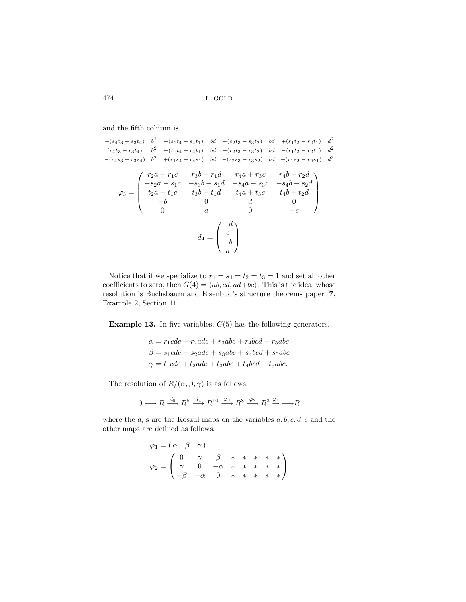and the fifth column is

$$
-(s_4t_3 - s_3t_4) \quad b^2 \quad +(s_1t_4 - s_4t_1) \quad bd \quad -(s_2t_3 - s_3t_2) \quad bd \quad +(s_1t_2 - s_2t_1) \quad d^2
$$
\n
$$
(r_4t_3 - r_3t_4) \quad b^2 \quad -(r_1t_4 - r_4t_1) \quad bd \quad +(r_2t_3 - r_3t_2) \quad bd \quad -(r_1t_2 - r_2t_1) \quad d^2
$$
\n
$$
-(r_4s_3 - r_3s_4) \quad b^2 \quad +(r_1s_4 - r_4s_1) \quad bd \quad -(r_2s_3 - r_3s_2) \quad bd \quad +(r_1s_2 - r_2s_1) \quad d^2
$$
\n
$$
\varphi_3 = \begin{pmatrix}\n r_2a + r_1c & r_3b + r_1d & r_4a + r_3c & r_4b + r_2d \\
 -s_2a - s_1c & -s_3b - s_1d & -s_4a - s_3c & -s_4b - s_2d \\
 t_2a + t_1c & t_3b + t_1d & t_4a + t_3c & t_4b + t_2d \\
 -b & 0 & d & 0 \\
 0 & a & 0 & -c\n\end{pmatrix}
$$
\n
$$
d_4 = \begin{pmatrix}\n -d \\
 c \\
 -b \\
 a\n\end{pmatrix}
$$

Notice that if we specialize to  $r_1 = s_4 = t_2 = t_3 = 1$  and set all other coefficients to zero, then  $G(4) = (ab, cd, ad+bc)$ . This is the ideal whose resolution is Buchsbaum and Eisenbud's structure theorems paper [**7**, Example 2, Section 11].

**Example 13.** In five variables,  $G(5)$  has the following generators.

$$
\alpha = r_1cde + r_2ade + r_3abe + r_4bcd + r_5abc
$$
  

$$
\beta = s_1cde + s_2ade + s_3abe + s_4bcd + s_5abc
$$
  

$$
\gamma = t_1cde + t_2ade + t_3abe + t_4bcd + t_5abc.
$$

The resolution of  $R/(\alpha, \beta, \gamma)$  is as follows.

$$
0 \longrightarrow R \xrightarrow{d_5} R^5 \xrightarrow{d_4} R^{10} \xrightarrow{\varphi_3} R^8 \xrightarrow{\varphi_2} R^3 \xrightarrow{\varphi_1} \longrightarrow R
$$

where the  $d_i$ 's are the Koszul maps on the variables  $a, b, c, d, e$  and the other maps are defined as follows.

$$
\varphi_1 = (\alpha \beta \gamma) \n\varphi_2 = \begin{pmatrix}\n0 & \gamma & \beta & * & * & * & * \\
\gamma & 0 & -\alpha & * & * & * & * \\
-\beta & -\alpha & 0 & * & * & * & * \\
\end{pmatrix}
$$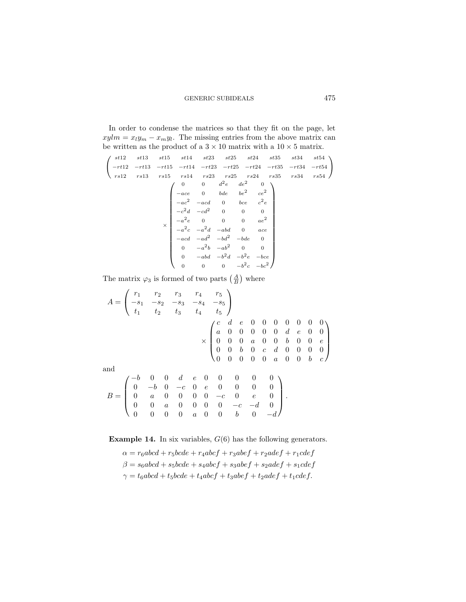In order to condense the matrices so that they fit on the page, let  $xylm = x_ly_m - x_my_l$ . The missing entries from the above matrix can be written as the product of a  $3 \times 10$  matrix with a  $10 \times 5$  matrix.

$$
\begin{pmatrix}\n st12 & st13 & st15 & st14 & st23 & st25 & st24 & st35 & st34 & st54 \\
 -rt12 & -rt13 & -rt15 & -rt14 & -rt23 & -rt25 & -rt24 & -rt35 & -rt34 & -rt54 \\
rs12 & rs13 & rs15 & rs14 & rs23 & rs25 & rs24 & rs35 & rs34 & rs54\n\end{pmatrix}
$$
\n
$$
\begin{pmatrix}\n 0 & 0 & d^2e & de^2 & 0 \\
 -ace & 0 & bde & be^2 & ce^2 \\
 -ac^2 & -acd & 0 & bce & c^2e \\
 -c^2d & -cd^2 & 0 & 0 & 0 \\
 -a^2e & 0 & 0 & 0 & ae^2 \\
 -a^2c & -a^2d & -abd & 0 & ace \\
 -acd & -ad^2 & -bd^2 & -bde & 0 \\
 0 & -abd & -b^2d & -b^2e & -bce \\
 0 & 0 & 0 & -b^2c & -bc^2\n\end{pmatrix}
$$

The matrix  $\varphi_3$  is formed of two parts  $\left(\frac{A}{B}\right)$  where

 $A =$  $\sqrt{2}$  $\mathcal{L}$  $r_1$   $r_2$   $r_3$   $r_4$   $r_5$  $-s_1$  −s<sub>2</sub> −s<sub>3</sub> −s<sub>4</sub> −s<sub>5</sub>  $t_1$   $t_2$   $t_3$   $t_4$   $t_5$ ⎞  $\overline{I}$ ×  $\sqrt{2}$  $\Big\}$ cde 0000000 a 00000 d e 0 0 000 a 0 0 b 0 0 e 0 0 *b* 0 *c* d 0 0 0 0 00000 a 0 0 b c ⎞  $\frac{1}{2}$ and  $B =$  $\sqrt{2}$  $\overline{\mathcal{N}}$ −b 0 0 d e 00 0 0 0  $0$   $-b$   $0$   $-c$   $0$   $e$   $0$   $0$   $0$   $0$  $0 \t a \t 0 \t 0 \t 0 \t 0 \t -c \t 0 \t e \t 0$ 0 0 *a* 0 0 0 0 −*c* −*d* 0  $0 \t 0 \t 0 \t a \t 0 \t 0 \t b \t 0 \t -d$ ⎞  $\cdot$ 

**Example 14.** In six variables,  $G(6)$  has the following generators.

 $\alpha = r_6abcd + r_5bcde + r_4abcf + r_3abef + r_2adef + r_1cdef$  $\beta = s_6abcd + s_5bcde + s_4abcf + s_3abef + s_2adef + s_1cdef$  $\gamma = t_6abcd + t_5bcde + t_4abcf + t_3abef + t_2adef + t_1cdef.$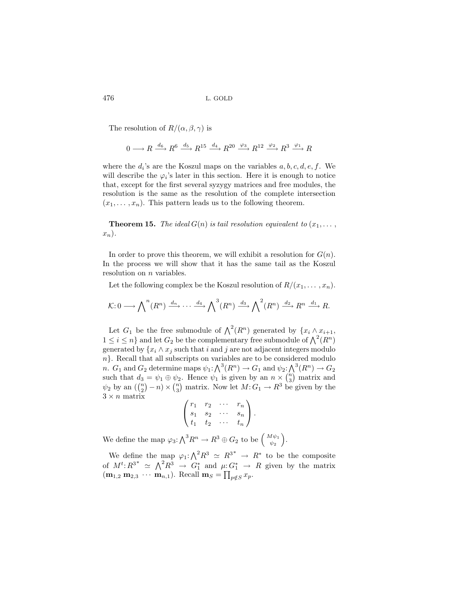The resolution of  $R/(\alpha, \beta, \gamma)$  is

$$
0 \longrightarrow R \xrightarrow{d_6} R^6 \xrightarrow{d_5} R^{15} \xrightarrow{d_4} R^{20} \xrightarrow{\varphi_3} R^{12} \xrightarrow{\varphi_2} R^3 \xrightarrow{\varphi_1} R
$$

where the  $d_i$ 's are the Koszul maps on the variables  $a, b, c, d, e, f$ . We will describe the  $\varphi_i$ 's later in this section. Here it is enough to notice that, except for the first several syzygy matrices and free modules, the resolution is the same as the resolution of the complete intersection  $(x_1,\ldots,x_n)$ . This pattern leads us to the following theorem.

**Theorem 15.** *The ideal*  $G(n)$  *is tail resolution equivalent to*  $(x_1, \ldots, x_n)$  $x_n$ ).

In order to prove this theorem, we will exhibit a resolution for  $G(n)$ . In the process we will show that it has the same tail as the Koszul resolution on *n* variables.

Let the following complex be the Koszul resolution of  $R/(x_1,\ldots,x_n)$ .

$$
\mathcal{K}: 0 \longrightarrow \bigwedge\nolimits^{n}(R^{n}) \xrightarrow{d_{n}} \cdots \xrightarrow{d_{4}} \bigwedge\nolimits^{3}(R^{n}) \xrightarrow{d_{3}} \bigwedge\nolimits^{2}(R^{n}) \xrightarrow{d_{2}} R^{n} \xrightarrow{d_{1}} R.
$$

Let  $G_1$  be the free submodule of  $\bigwedge^2(R^n)$  generated by  $\{x_i \wedge x_{i+1},$  $1 \leq i \leq n$ } and let  $G_2$  be the complementary free submodule of  $\bigwedge^2(R^n)$ generated by  $\{x_i \wedge x_j \text{ such that } i \text{ and } j \text{ are not adjacent integers modulo } \}$  $n$ . Recall that all subscripts on variables are to be considered modulo n.  $G_1$  and  $G_2$  determine maps  $\psi_1: \bigwedge^3(R^n) \to G_1$  and  $\psi_2: \bigwedge^3(R^n) \to G_2$ such that  $d_3 = \psi_1 \oplus \psi_2$ . Hence  $\psi_1$  is given by an  $n \times \binom{n}{3}$  matrix and  $\psi_2$  by an  $\left(\binom{n}{2} - n\right) \times \binom{n}{3}$  matrix. Now let  $M: G_1 \to \mathbb{R}^3$  be given by the  $3\times n$  matrix

$$
\begin{pmatrix} r_1 & r_2 & \cdots & r_n \\ s_1 & s_2 & \cdots & s_n \\ t_1 & t_2 & \cdots & t_n \end{pmatrix}.
$$

We define the map  $\varphi_3: \bigwedge^3 R^n \to R^3 \oplus G_2$  to be  $\begin{pmatrix} M\psi_1 \\ \psi_2 \end{pmatrix}$  $\frac{4\psi_1}{\psi_2}\biggr).$ 

We define the map  $\varphi_1: \bigwedge^2 R^3 \simeq R^{3^*} \to R^*$  to be the composite of  $M^t: R^{3^*} \simeq \Lambda^2 R^3 \to G_1^*$  and  $\mu: G_1^* \to R$  given by the matrix  $(m_{1,2} \, m_{2,3} \, \cdots \, m_{n,1})$ . Recall  $m_S = \prod_{p \notin S} x_p$ .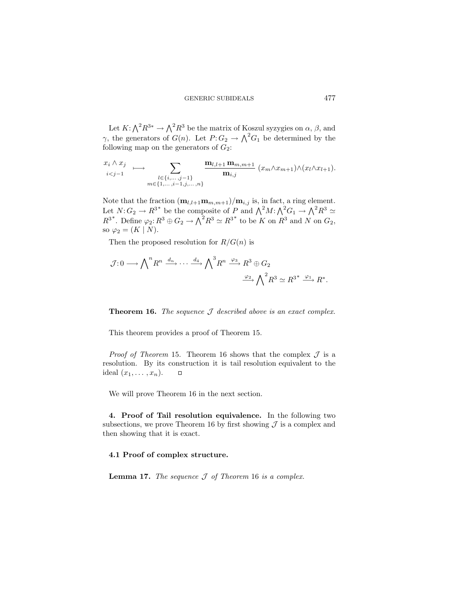Let  $K: \bigwedge^2 R^{3*} \to \bigwedge^2 R^3$  be the matrix of Koszul syzygies on  $\alpha$ ,  $\beta$ , and  $\gamma$ , the generators of  $G(n)$ . Let  $P: G_2 \to \Lambda^2 G_1$  be determined by the following map on the generators of  $G_2$ :

$$
\begin{array}{cccc}\nx_i \wedge x_j & \longmapsto & \sum_{l \in \{i, \ldots, j-1\}} \frac{\mathbf{m}_{l,l+1} \mathbf{m}_{m,m+1}}{\mathbf{m}_{i,j}} (x_m \wedge x_{m+1}) \wedge (x_l \wedge x_{l+1}).\\
& \stackrel{\text{ }_{l \in \{i, \ldots, j-1\}}}{\mathbf{m} \in \{1, \ldots, i-1, j, \ldots, n\}}} \n\end{array}
$$

Note that the fraction  $(\mathbf{m}_{l,l+1}\mathbf{m}_{m,m+1})/\mathbf{m}_{i,j}$  is, in fact, a ring element. Let  $N: G_2 \to R^{3*}$  be the composite of P and  $\bigwedge^2 M: \bigwedge^2 G_1 \to \bigwedge^2 R^3 \simeq$  $R^{3*}$ . Define  $\varphi_2: R^3 \oplus G_2 \to \bigwedge^2 R^3 \simeq R^{3*}$  to be K on  $R^3$  and N on  $G_2$ , so  $\varphi_2 = (K \mid N)$ .

Then the proposed resolution for  $R/G(n)$  is

$$
\mathcal{J}: 0 \longrightarrow \bigwedge\nolimits^{n} R^{n} \xrightarrow{d_{n}} \cdots \xrightarrow{d_{4}} \bigwedge\nolimits^{3} R^{n} \xrightarrow{\varphi_{3}} R^{3} \oplus G_{2}
$$
\n
$$
\xrightarrow{\varphi_{2}} \bigwedge\nolimits^{2} R^{3} \simeq R^{3^{*}} \xrightarrow{\varphi_{1}} R^{*}.
$$

**Theorem 16.** *The sequence* J *described above is an exact complex.*

This theorem provides a proof of Theorem 15.

*Proof of Theorem* 15. Theorem 16 shows that the complex  $\mathcal J$  is a resolution. By its construction it is tail resolution equivalent to the ideal  $(x_1,\ldots,x_n)$ .  $\Box$ 

We will prove Theorem 16 in the next section.

**4. Proof of Tail resolution equivalence.** In the following two subsections, we prove Theorem 16 by first showing  $\mathcal J$  is a complex and then showing that it is exact.

#### **4.1 Proof of complex structure.**

**Lemma 17.** *The sequence* J *of Theorem* 16 *is a complex.*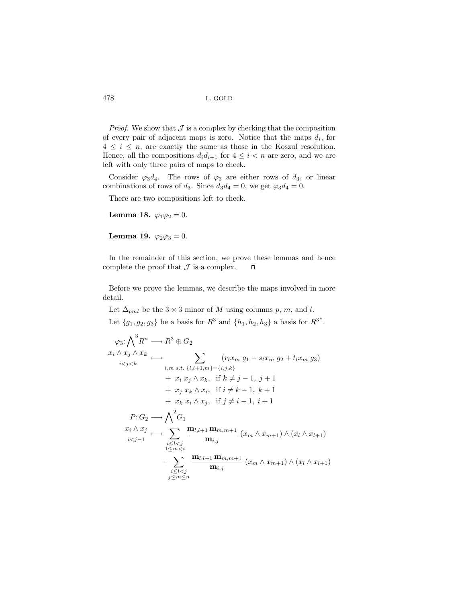*Proof.* We show that  $J$  is a complex by checking that the composition of every pair of adjacent maps is zero. Notice that the maps  $d_i$ , for  $4 \leq i \leq n$ , are exactly the same as those in the Koszul resolution. Hence, all the compositions  $d_i d_{i+1}$  for  $4 \leq i < n$  are zero, and we are left with only three pairs of maps to check.

Consider  $\varphi_3d_4$ . The rows of  $\varphi_3$  are either rows of  $d_3$ , or linear combinations of rows of  $d_3$ . Since  $d_3d_4 = 0$ , we get  $\varphi_3d_4 = 0$ .

There are two compositions left to check.

**Lemma 18.**  $\varphi_1 \varphi_2 = 0$ .

**Lemma 19.**  $\varphi_2 \varphi_3 = 0$ .

In the remainder of this section, we prove these lemmas and hence complete the proof that  $\mathcal J$  is a complex.  $\Box$ 

Before we prove the lemmas, we describe the maps involved in more detail.

Let  $\Delta_{pml}$  be the 3 × 3 minor of M using columns p, m, and l. Let  ${g_1, g_2, g_3}$  be a basis for  $R^3$  and  ${h_1, h_2, h_3}$  a basis for  $R^{3*}$ .

$$
\varphi_{3}: \bigwedge^{3} R^{n} \longrightarrow R^{3} \oplus G_{2}
$$
\n
$$
x_{i} \wedge x_{j} \wedge x_{k} \longrightarrow \sum_{l,m \text{ s.t. } \{l,l+1,m\}=\{i,j,k\}} (r_{l}x_{m} g_{1} - s_{l}x_{m} g_{2} + t_{l}x_{m} g_{3})
$$
\n
$$
+ x_{i} x_{j} \wedge x_{k}, \text{ if } k \neq j-1, j+1
$$
\n
$$
+ x_{j} x_{k} \wedge x_{i}, \text{ if } i \neq k-1, k+1
$$
\n
$$
+ x_{k} x_{i} \wedge x_{j}, \text{ if } j \neq i-1, i+1
$$
\n
$$
P: G_{2} \longrightarrow \bigwedge^{2} G_{1}
$$
\n
$$
x_{i} \wedge x_{j} \longrightarrow \sum_{\substack{i \leq l < j \\ 1 \leq m < i}} \frac{\mathbf{m}_{l,l+1} \mathbf{m}_{m,m+1}}{\mathbf{m}_{i,j}} (x_{m} \wedge x_{m+1}) \wedge (x_{l} \wedge x_{l+1})
$$
\n
$$
+ \sum_{\substack{i \leq l < j \\ j \leq m \leq n}} \frac{\mathbf{m}_{l,l+1} \mathbf{m}_{m,m+1}}{\mathbf{m}_{i,j}} (x_{m} \wedge x_{m+1}) \wedge (x_{l} \wedge x_{l+1})
$$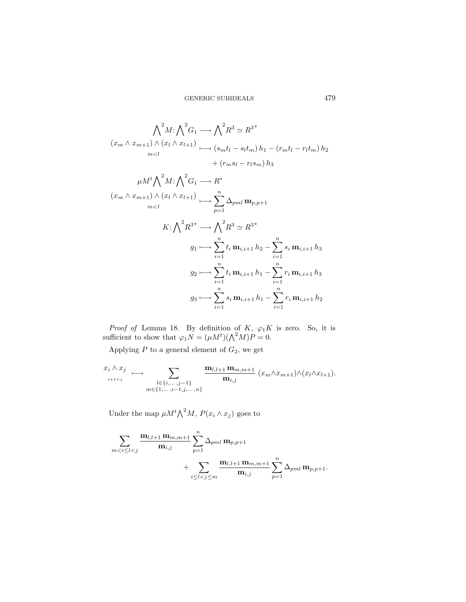$$
\bigwedge_{m}^{2} M: \bigwedge^{2} G_{1} \longrightarrow \bigwedge^{2} R^{3} \simeq R^{3}^{*}
$$
\n
$$
(x_{m} \wedge x_{m+1}) \wedge (x_{l} \wedge x_{l+1}) \longrightarrow (s_{m} t_{l} - s_{l} t_{m}) h_{1} - (r_{m} t_{l} - r_{l} t_{m}) h_{2}
$$
\n
$$
+ (r_{m} s_{l} - r_{l} s_{m}) h_{3}
$$
\n
$$
\mu M^{t} \bigwedge^{2} M: \bigwedge^{2} G_{1} \longrightarrow R^{*}
$$
\n
$$
(x_{m} \wedge x_{m+1}) \wedge (x_{l} \wedge x_{l+1}) \longrightarrow \sum_{p=1}^{n} \Delta_{pm} \mathbf{m}_{p,p+1}
$$
\n
$$
K: \bigwedge^{2} R^{3}^{*} \longrightarrow \bigwedge^{2} R^{3} \simeq R^{3}^{*}
$$
\n
$$
g_{1} \longmapsto \sum_{i=1}^{n} t_{i} \mathbf{m}_{i,i+1} h_{2} - \sum_{i=1}^{n} s_{i} \mathbf{m}_{i,i+1} h_{3}
$$
\n
$$
g_{2} \longmapsto \sum_{i=1}^{n} t_{i} \mathbf{m}_{i,i+1} h_{1} - \sum_{i=1}^{n} r_{i} \mathbf{m}_{i,i+1} h_{2}
$$
\n
$$
g_{3} \longmapsto \sum_{i=1}^{n} s_{i} \mathbf{m}_{i,i+1} h_{1} - \sum_{i=1}^{n} r_{i} \mathbf{m}_{i,i+1} h_{2}
$$

*Proof of* Lemma 18. By definition of  $K$ ,  $\varphi_1 K$  is zero. So, it is sufficient to show that  $\varphi_1 N = (\mu M^t)(\bigwedge^2 M)P = 0.$ 

Applying  $\boldsymbol{P}$  to a general element of  $G_2,$  we get

$$
x_i \wedge x_j \longrightarrow \sum_{\substack{l \in \{i, \ldots, j-1\} \\ m \in \{1, \ldots, i-1, j, \ldots, n\}}} \frac{\mathbf{m}_{l,l+1} \mathbf{m}_{m,m+1}}{\mathbf{m}_{i,j}} (x_m \wedge x_{m+1}) \wedge (x_l \wedge x_{l+1}).
$$

Under the map  $\mu M^t \Lambda^2 M$ ,  $P(x_i \wedge x_j)$  goes to

$$
\begin{aligned} \sum_{m < i \leq l < j} \frac{\mathbf{m}_{l,l+1} \, \mathbf{m}_{m,m+1}}{\mathbf{m}_{i,j}} \sum_{p=1}^{n} \Delta_{pml} \, \mathbf{m}_{p,p+1} \\ &+ \sum_{i \leq l < j \leq m} \frac{\mathbf{m}_{l,l+1} \, \mathbf{m}_{m,m+1}}{\mathbf{m}_{i,j}} \sum_{p=1}^{n} \Delta_{pml} \, \mathbf{m}_{p,p+1}. \end{aligned}
$$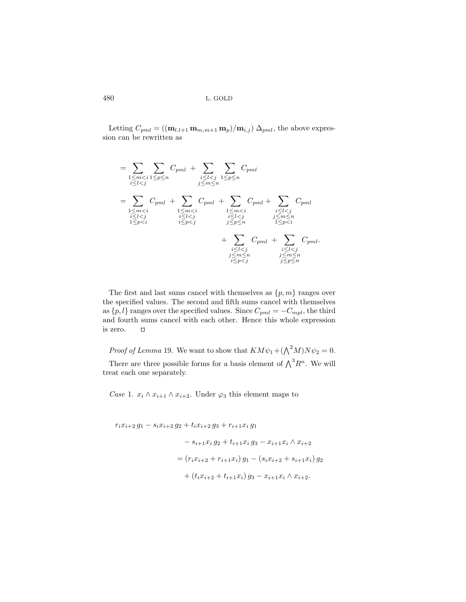Letting  $C_{pml} = ((\mathbf{m}_{l,l+1} \mathbf{m}_{m,m+1} \mathbf{m}_p)/\mathbf{m}_{i,j}) \Delta_{pml}$ , the above expression can be rewritten as

$$
= \sum_{\substack{1 \leq m < i \\ i \leq l < j}} \sum_{\substack{1 \leq m < i \\ j \leq m \leq n}} C_{pml} + \sum_{\substack{i \leq l < j \\ j \leq m \leq n}} \sum_{\substack{1 \leq p \leq n \\ m < i}} C_{pml} \\ \leq \sum_{\substack{1 \leq m < i \\ i \leq l < j \\ i \leq l < j}} C_{pml} + \sum_{\substack{1 \leq m < i \\ i \leq l < j \\ i \leq l < j \\ j \leq p \leq n}} C_{pml} + \sum_{\substack{1 \leq m < i \\ j \leq m \leq n \\ 1 \leq p < i}} C_{pml} + \sum_{\substack{i \leq l < j \\ j \leq m \leq n \\ i \leq l < j \\ j \leq m \leq n}} C_{pml}
$$

The first and last sums cancel with themselves as  $\{p, m\}$  ranges over the specified values. The second and fifth sums cancel with themselves as  $\{p, l\}$  ranges over the specified values. Since  $C_{pml} = -C_{mpl}$ , the third and fourth sums cancel with each other. Hence this whole expression is zero.  $\Box$ 

*Proof of Lemma* 19. We want to show that  $KM\psi_1 + (\bigwedge^2 M)N\psi_2 = 0$ . There are three possible forms for a basis element of  $\bigwedge^3 R^n$ . We will treat each one separately.

*Case* 1.  $x_i \wedge x_{i+1} \wedge x_{i+2}$ . Under  $\varphi_3$  this element maps to

$$
r_i x_{i+2} g_1 - s_i x_{i+2} g_2 + t_i x_{i+2} g_3 + r_{i+1} x_i g_1
$$
  
\n
$$
- s_{i+1} x_i g_2 + t_{i+1} x_i g_3 - x_{i+1} x_i \wedge x_{i+2}
$$
  
\n
$$
= (r_i x_{i+2} + r_{i+1} x_i) g_1 - (s_i x_{i+2} + s_{i+1} x_i) g_2
$$
  
\n
$$
+ (t_i x_{i+2} + t_{i+1} x_i) g_3 - x_{i+1} x_i \wedge x_{i+2}.
$$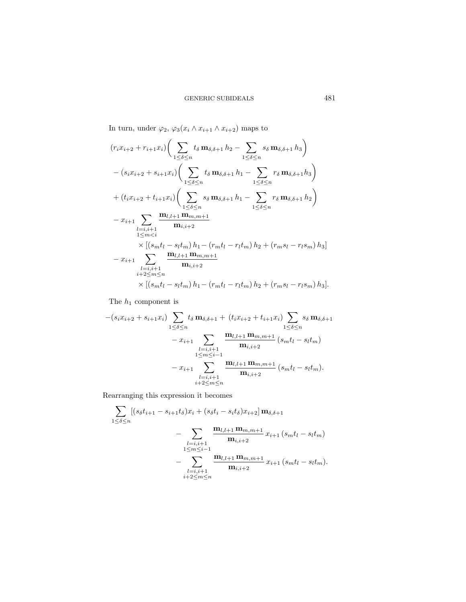In turn, under  $\varphi_2$ ,  $\varphi_3(x_i \wedge x_{i+1} \wedge x_{i+2})$  maps to

$$
(r_i x_{i+2} + r_{i+1} x_i) \left( \sum_{1 \le \delta \le n} t_{\delta} \mathbf{m}_{\delta, \delta+1} h_2 - \sum_{1 \le \delta \le n} s_{\delta} \mathbf{m}_{\delta, \delta+1} h_3 \right)
$$
  
\n
$$
- (s_i x_{i+2} + s_{i+1} x_i) \left( \sum_{1 \le \delta \le n} t_{\delta} \mathbf{m}_{\delta, \delta+1} h_1 - \sum_{1 \le \delta \le n} r_{\delta} \mathbf{m}_{\delta, \delta+1} h_3 \right)
$$
  
\n
$$
+ (t_i x_{i+2} + t_{i+1} x_i) \left( \sum_{1 \le \delta \le n} s_{\delta} \mathbf{m}_{\delta, \delta+1} h_1 - \sum_{1 \le \delta \le n} r_{\delta} \mathbf{m}_{\delta, \delta+1} h_2 \right)
$$
  
\n
$$
- x_{i+1} \sum_{\substack{l=i, i+1 \\ l \le m  
\n
$$
- x_{i+1} \sum_{\substack{l=i, i+1 \\ l+2 \le m \le n}} \frac{\mathbf{m}_{l,l+1} \mathbf{m}_{m,m+1}}{\mathbf{m}_{i,i+2}} \times [(s_m t_l - s_l t_m) h_1 - (r_m t_l - r_l t_m) h_2 + (r_m s_l - r_l s_m) h_3].
$$
$$

The  $\mathfrak{h}_1$  component is

$$
-(s_{i}x_{i+2} + s_{i+1}x_{i})\sum_{1 \leq \delta \leq n} t_{\delta} \mathbf{m}_{\delta,\delta+1} + (t_{i}x_{i+2} + t_{i+1}x_{i})\sum_{1 \leq \delta \leq n} s_{\delta} \mathbf{m}_{\delta,\delta+1}
$$

$$
- x_{i+1} \sum_{\substack{l=i, i+1 \\ 1 \leq m \leq i-1}} \frac{\mathbf{m}_{l,l+1} \mathbf{m}_{m,m+1}}{\mathbf{m}_{i,i+2}} (s_{m}t_{l} - s_{l}t_{m})
$$

$$
- x_{i+1} \sum_{\substack{l=i, i+1 \\ i+2 \leq m \leq n}} \frac{\mathbf{m}_{l,l+1} \mathbf{m}_{m,m+1}}{\mathbf{m}_{i,i+2}} (s_{m}t_{l} - s_{l}t_{m}).
$$

Rearranging this expression it becomes

$$
\sum_{1 \leq \delta \leq n} [(s_{\delta}t_{i+1} - s_{i+1}t_{\delta})x_i + (s_{\delta}t_i - s_it_{\delta})x_{i+2}] \mathbf{m}_{\delta,\delta+1}
$$
  
- 
$$
\sum_{\substack{l=i, i+1 \\ 1 \leq m \leq i-1}} \frac{\mathbf{m}_{l,l+1} \mathbf{m}_{m,m+1}}{\mathbf{m}_{i,i+2}} x_{i+1} (s_mt_l - s_th_m)
$$
  
- 
$$
\sum_{\substack{l=i, i+1 \\ i+2 \leq m \leq n}} \frac{\mathbf{m}_{l,l+1} \mathbf{m}_{m,m+1}}{\mathbf{m}_{i,i+2}} x_{i+1} (s_mt_l - s_th_m).
$$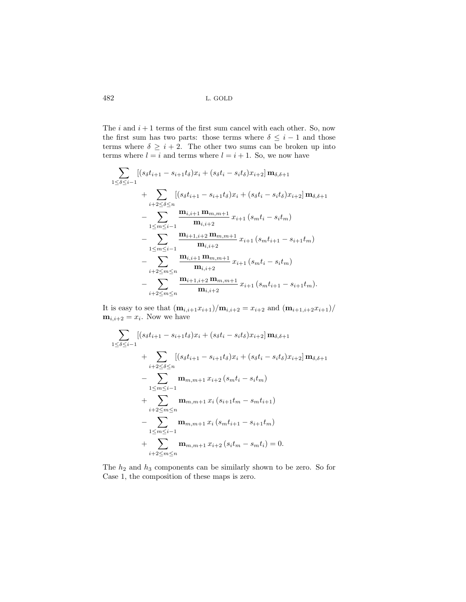The  $i$  and  $i + 1$  terms of the first sum cancel with each other. So, now the first sum has two parts: those terms where  $\delta \leq i-1$  and those terms where  $\delta \geq i + 2$ . The other two sums can be broken up into terms where  $l = i$  and terms where  $l = i + 1$ . So, we now have

$$
\sum_{1 \leq \delta \leq i-1} \left[ (s_{\delta}t_{i+1} - s_{i+1}t_{\delta})x_i + (s_{\delta}t_i - s_it_{\delta})x_{i+2} \right] \mathbf{m}_{\delta,\delta+1} \n+ \sum_{i+2 \leq \delta \leq n} \left[ (s_{\delta}t_{i+1} - s_{i+1}t_{\delta})x_i + (s_{\delta}t_i - s_it_{\delta})x_{i+2} \right] \mathbf{m}_{\delta,\delta+1} \n- \sum_{1 \leq m \leq i-1} \frac{\mathbf{m}_{i,i+1} \mathbf{m}_{m,m+1}}{\mathbf{m}_{i,i+2}} x_{i+1} (s_{m}t_{i} - s_{i}t_{m}) \n- \sum_{1 \leq m \leq i-1} \frac{\mathbf{m}_{i+1,i+2} \mathbf{m}_{m,m+1}}{\mathbf{m}_{i,i+2}} x_{i+1} (s_{m}t_{i+1} - s_{i+1}t_{m}) \n- \sum_{i+2 \leq m \leq n} \frac{\mathbf{m}_{i,i+1} \mathbf{m}_{m,m+1}}{\mathbf{m}_{i,i+2}} x_{i+1} (s_{m}t_{i} - s_{i}t_{m}) \n- \sum_{i+2 \leq m \leq n} \frac{\mathbf{m}_{i+1,i+2} \mathbf{m}_{m,m+1}}{\mathbf{m}_{i,i+2}} x_{i+1} (s_{m}t_{i+1} - s_{i+1}t_{m}).
$$

It is easy to see that  $(\mathbf{m}_{i,i+1}x_{i+1})/\mathbf{m}_{i,i+2} = x_{i+2}$  and  $(\mathbf{m}_{i+1,i+2}x_{i+1})/$ **. Now we have** 

$$
\sum_{1 \leq \delta \leq i-1} [(s_{\delta}t_{i+1} - s_{i+1}t_{\delta})x_i + (s_{\delta}t_i - s_i t_{\delta})x_{i+2}] \mathbf{m}_{\delta,\delta+1} \n+ \sum_{i+2 \leq \delta \leq n} [(s_{\delta}t_{i+1} - s_{i+1}t_{\delta})x_i + (s_{\delta}t_i - s_i t_{\delta})x_{i+2}] \mathbf{m}_{\delta,\delta+1} \n- \sum_{1 \leq m \leq i-1} \mathbf{m}_{m,m+1} x_{i+2} (s_m t_i - s_i t_m) \n+ \sum_{i+2 \leq m \leq n} \mathbf{m}_{m,m+1} x_i (s_{i+1}t_m - s_m t_{i+1}) \n- \sum_{1 \leq m \leq i-1} \mathbf{m}_{m,m+1} x_i (s_m t_{i+1} - s_{i+1} t_m) \n+ \sum_{i+2 \leq m \leq n} \mathbf{m}_{m,m+1} x_{i+2} (s_i t_m - s_m t_i) = 0.
$$

The  $h_2$  and  $h_3$  components can be similarly shown to be zero. So for Case 1, the composition of these maps is zero.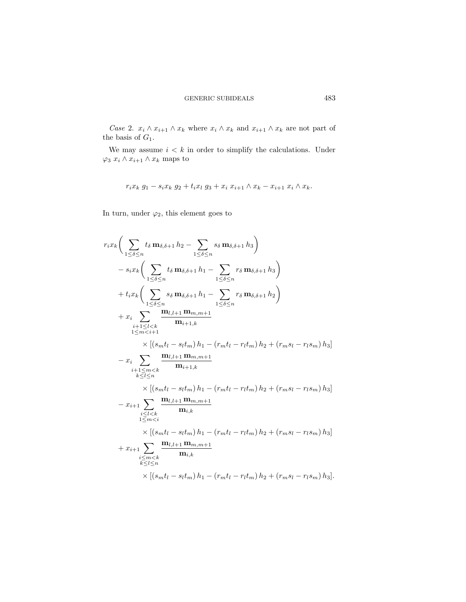*Case* 2.  $x_i \wedge x_{i+1} \wedge x_k$  where  $x_i \wedge x_k$  and  $x_{i+1} \wedge x_k$  are not part of the basis of  $G_1$ .

We may assume  $i < k$  in order to simplify the calculations. Under  $\varphi_3 x_i \wedge x_{i+1} \wedge x_k$  maps to

$$
r_i x_k g_1 - s_i x_k g_2 + t_i x_l g_3 + x_i x_{i+1} \wedge x_k - x_{i+1} x_i \wedge x_k.
$$

In turn, under  $\varphi_2$ , this element goes to

$$
r_{i}x_{k}\Big(\sum_{1\leq\delta\leq n}t_{\delta}\,\mathbf{m}_{\delta,\delta+1}\,h_{2}-\sum_{1\leq\delta\leq n}s_{\delta}\,\mathbf{m}_{\delta,\delta+1}\,h_{3}\Big) -s_{i}x_{k}\Big(\sum_{1\leq\delta\leq n}t_{\delta}\,\mathbf{m}_{\delta,\delta+1}\,h_{1}-\sum_{1\leq\delta\leq n}r_{\delta}\,\mathbf{m}_{\delta,\delta+1}\,h_{3}\Big) +t_{i}x_{k}\Big(\sum_{1\leq\delta\leq n}s_{\delta}\,\mathbf{m}_{\delta,\delta+1}\,h_{1}-\sum_{1\leq\delta\leq n}r_{\delta}\,\mathbf{m}_{\delta,\delta+1}\,h_{2}\Big) +x_{i}\sum_{i+1\leq l
$$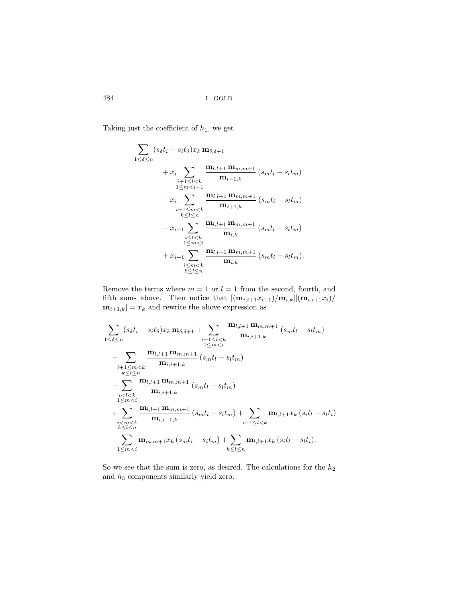Taking just the coefficient of  $h_1$ , we get

$$
\sum_{1 \leq \delta \leq n} (s_{\delta}t_{i} - s_{i}t_{\delta})x_{k} \mathbf{m}_{\delta,\delta+1} + x_{i} \sum_{\substack{i+1 \leq l < k \\ 1 \leq m < i+1}} \frac{\mathbf{m}_{l,l+1} \mathbf{m}_{m,m+1}}{\mathbf{m}_{i+1,k}} (s_{m}t_{l} - s_{l}t_{m}) + x_{i} \sum_{\substack{i+1 \leq m < k \\ k \leq l \leq n}} \frac{\mathbf{m}_{l,l+1} \mathbf{m}_{m,m+1}}{\mathbf{m}_{i+1,k}} (s_{m}t_{l} - s_{l}t_{m}) + x_{i+1} \sum_{\substack{i \leq l < k \\ 1 \leq m < i}} \frac{\mathbf{m}_{l,l+1} \mathbf{m}_{m,m+1}}{\mathbf{m}_{i,k}} (s_{m}t_{l} - s_{l}t_{m}) + x_{i+1} \sum_{\substack{i \leq m < k \\ k \leq l \leq n}} \frac{\mathbf{m}_{l,l+1} \mathbf{m}_{m,m+1}}{\mathbf{m}_{i,k}} (s_{m}t_{l} - s_{l}t_{m}).
$$

Remove the terms where  $m = 1$  or  $l = 1$  from the second, fourth, and fifth sums above. Then notice that  $[(\mathbf{m}_{i,i+1}x_{i+1})/\mathbf{m}_{i,k}][(\mathbf{m}_{i,i+1}x_i)/\mathbf{m}_{i,k}]$  **=**  $x_k$  **and rewrite the above expression as** 

$$
\sum_{1 \leq \delta \leq n} (s_{\delta}t_{i} - s_{i}t_{\delta})x_{k} \mathbf{m}_{\delta,\delta+1} + \sum_{\substack{i+1 \leq l < k \\ 1 \leq m < i}} \frac{\mathbf{m}_{l,l+1} \mathbf{m}_{m,m+1}}{\mathbf{m}_{i,i+1,k}} (s_{m}t_{l} - s_{l}t_{m})
$$
\n
$$
- \sum_{\substack{i+1 \leq m < k \\ k \leq l \leq n}} \frac{\mathbf{m}_{l,l+1} \mathbf{m}_{m,m+1}}{\mathbf{m}_{i,i+1,k}} (s_{m}t_{l} - s_{l}t_{m})
$$
\n
$$
- \sum_{\substack{i < l < k \\ 1 \leq m < i}} \frac{\mathbf{m}_{l,l+1} \mathbf{m}_{m,m+1}}{\mathbf{m}_{i,i+1,k}} (s_{m}t_{l} - s_{l}t_{m})
$$
\n
$$
+ \sum_{\substack{i < m < k \\ k \leq l \leq n}} \frac{\mathbf{m}_{l,l+1} \mathbf{m}_{m,m+1}}{\mathbf{m}_{i,i+1,k}} (s_{m}t_{l} - s_{l}t_{m}) + \sum_{\substack{i+1 \leq l < k \\ k \leq l \leq n}} \mathbf{m}_{l,l+1}x_{k} (s_{i}t_{l} - s_{l}t_{i})
$$
\n
$$
- \sum_{1 \leq m < i} \mathbf{m}_{m,m+1}x_{k} (s_{m}t_{i} - s_{i}t_{m}) + \sum_{k \leq l \leq n} \mathbf{m}_{l,l+1}x_{k} (s_{i}t_{l} - s_{l}t_{i}).
$$

So we see that the sum is zero, as desired. The calculations for the  $h_2$ and  $h_3$  components similarly yield zero.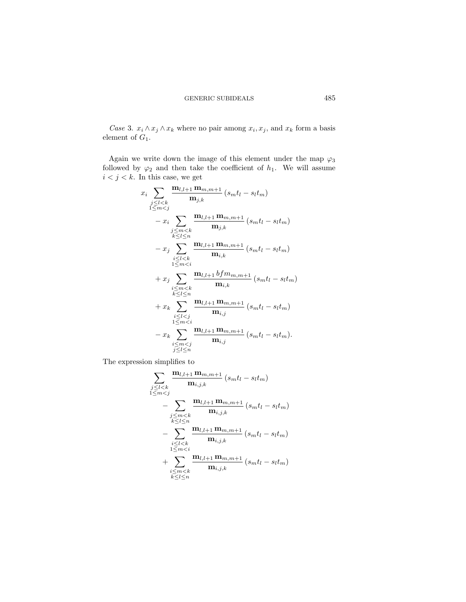*Case* 3.  $x_i \wedge x_j \wedge x_k$  where no pair among  $x_i, x_j$ , and  $x_k$  form a basis element of  $G_1$ .

Again we write down the image of this element under the map  $\varphi_3$ followed by  $\varphi_2$  and then take the coefficient of  $h_1$ . We will assume  $i < j < k.$  In this case, we get

$$
x_{i} \sum_{\substack{j \leq l < k \\ 1 \leq m < j}} \frac{\mathbf{m}_{l,l+1} \mathbf{m}_{m,m+1}}{\mathbf{m}_{j,k}} (s_{m}t_{l} - s_{l}t_{m})
$$
\n
$$
- x_{i} \sum_{\substack{j \leq m < k \\ k \leq l \leq n}} \frac{\mathbf{m}_{l,l+1} \mathbf{m}_{m,m+1}}{\mathbf{m}_{j,k}} (s_{m}t_{l} - s_{l}t_{m})
$$
\n
$$
- x_{j} \sum_{\substack{i \leq l < k \\ 1 \leq m < i}} \frac{\mathbf{m}_{l,l+1} \mathbf{m}_{m,m+1}}{\mathbf{m}_{i,k}} (s_{m}t_{l} - s_{l}t_{m})
$$
\n
$$
+ x_{j} \sum_{\substack{i \leq m < k \\ k \leq l \leq n}} \frac{\mathbf{m}_{l,l+1} b f m_{m,m+1}}{\mathbf{m}_{i,k}} (s_{m}t_{l} - s_{l}t_{m})
$$
\n
$$
+ x_{k} \sum_{\substack{i \leq l < j \\ 1 \leq m < i}} \frac{\mathbf{m}_{l,l+1} \mathbf{m}_{m,m+1}}{\mathbf{m}_{i,j}} (s_{m}t_{l} - s_{l}t_{m})
$$
\n
$$
- x_{k} \sum_{\substack{i \leq m < j \\ j \leq l \leq n}} \frac{\mathbf{m}_{l,l+1} \mathbf{m}_{m,m+1}}{\mathbf{m}_{i,j}} (s_{m}t_{l} - s_{l}t_{m}).
$$

The expression simplifies to

$$
\sum_{\substack{j \leq l < k \\ 1 \leq m < j}} \frac{\mathbf{m}_{l,l+1} \, \mathbf{m}_{m,m+1}}{\mathbf{m}_{i,j,k}} \left( s_m t_l - s_l t_m \right) \\ - \sum_{\substack{j \leq m < k \\ k \leq l \leq n}} \frac{\mathbf{m}_{l,l+1} \, \mathbf{m}_{m,m+1}}{\mathbf{m}_{i,j,k}} \left( s_m t_l - s_l t_m \right) \\ - \sum_{\substack{i \leq l < k \\ 1 \leq m < i}} \frac{\mathbf{m}_{l,l+1} \, \mathbf{m}_{m,m+1}}{\mathbf{m}_{i,j,k}} \left( s_m t_l - s_l t_m \right) \\ + \sum_{\substack{i \leq m < k \\ k \leq l \leq n}} \frac{\mathbf{m}_{l,l+1} \, \mathbf{m}_{m,m+1}}{\mathbf{m}_{i,j,k}} \left( s_m t_l - s_l t_m \right)
$$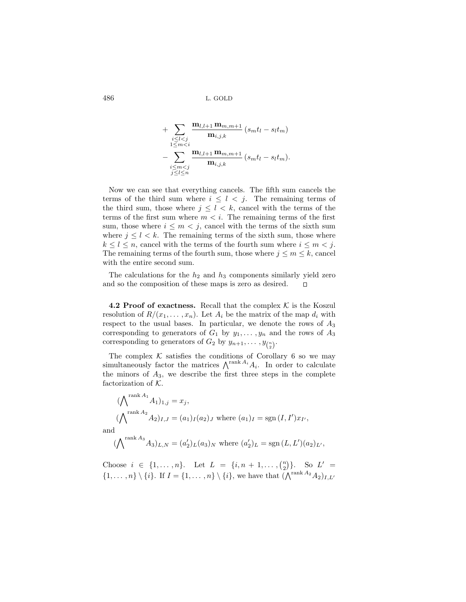$$
+\sum_{\substack{i\leq l
$$

Now we can see that everything cancels. The fifth sum cancels the terms of the third sum where  $i \leq l \leq j$ . The remaining terms of the third sum, those where  $j \leq l \leq k$ , cancel with the terms of the terms of the first sum where  $m < i$ . The remaining terms of the first sum, those where  $i \leq m < j$ , cancel with the terms of the sixth sum where  $j \leq l \leq k$ . The remaining terms of the sixth sum, those where  $k \leq l \leq n$ , cancel with the terms of the fourth sum where  $i \leq m < j$ . The remaining terms of the fourth sum, those where  $j \leq m \leq k$ , cancel with the entire second sum.

The calculations for the  $h_2$  and  $h_3$  components similarly yield zero and so the composition of these maps is zero as desired.  $\Box$ 

**4.2 Proof of exactness.** Recall that the complex  $K$  is the Koszul resolution of  $R/(x_1,\ldots,x_n)$ . Let  $A_i$  be the matrix of the map  $d_i$  with respect to the usual bases. In particular, we denote the rows of  $A_3$ corresponding to generators of  $G_1$  by  $y_1, \ldots, y_n$  and the rows of  $A_3$ corresponding to generators of  $G_2$  by  $y_{n+1}, \ldots, y_{\binom{n}{2}}$ .

The complex  $K$  satisfies the conditions of Corollary 6 so we may simultaneously factor the matrices  $\bigwedge^{\text{rank }A_i} A_i$ . In order to calculate the minors of  $A_3$ , we describe the first three steps in the complete factorization of  $K$ .

$$
(\bigwedge^{\text{rank } A_1} A_1)_{1,j} = x_j,
$$
  

$$
(\bigwedge^{\text{rank } A_2} A_2)_{I,J} = (a_1)_I (a_2)_J \text{ where } (a_1)_I = \text{sgn}(I, I') x_{I'},
$$
  
and

$$
(\bigwedge^{\text{rank }A_3}A_3)_{L,N} = (a'_2)_L (a_3)_N \text{ where } (a'_2)_L = \text{sgn}(L, L')(a_2)_{L'},
$$

Choose  $i \in \{1, ..., n\}$ . Let  $L = \{i, n + 1, ..., {n \choose 2}\}$ . So  $L' =$  $\{1,\ldots,n\}\setminus\{i\}$ . If  $I = \{1,\ldots,n\}\setminus\{i\}$ , we have that  $(\bigwedge^{\text{rank }A_2}A_2)_{I,L'}$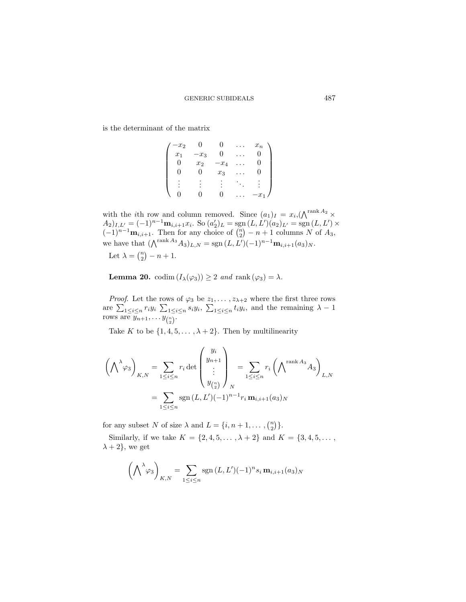is the determinant of the matrix

| $-x_2$ |        |       | $x_n$            |
|--------|--------|-------|------------------|
| $x_1$  | $-x_3$ | 0     |                  |
|        | $x_2$  | $x_4$ |                  |
|        |        | $x_3$ |                  |
|        |        |       |                  |
|        |        |       | $\boldsymbol{x}$ |

with the *i*th row and column removed. Since  $(a_1)_I = x_i, (\bigwedge^{\text{rank } A_2} \times$  $(A_2)_{I,L'} = (-1)^{n-1} \mathbf{m}_{i,i+1} x_i$ . So  $(a'_2)_L = \text{sgn}(L, L')(a_2)_{L'} = \text{sgn}(L, L') \times$  $(-1)^{n-1}\mathbf{m}_{i,i+1}$ . Then for any choice of  $\binom{n}{2} - n + 1$  columns N of  $A_3$ , we have that  $(\bigwedge^{\text{rank }A_3}A_3)_{L,N} = \text{sgn}(L,L')(-1)^{n-1}\mathbf{m}_{i,i+1}(a_3)_N.$ 

Let  $\lambda = \binom{n}{2} - n + 1$ .

**Lemma 20.** codim  $(I_\lambda(\varphi_3)) \geq 2$  *and* rank  $(\varphi_3) = \lambda$ *.* 

*Proof.* Let the rows of  $\varphi_3$  be  $z_1, \ldots, z_{\lambda+2}$  where the first three rows are  $\sum_{1 \leq i \leq n} r_i y_i \sum_{1 \leq i \leq n} s_i y_i$ ,  $\sum_{1 \leq i \leq n} t_i y_i$ , and the remaining  $\lambda - 1$ rows are  $\overline{y_{n+1}, \ldots y_{\binom{n}{2}}}$ .

Take K to be  $\{1, 4, 5, \ldots, \lambda + 2\}$ . Then by multilinearity

$$
\left(\bigwedge^{\lambda}\varphi_3\right)_{K,N} = \sum_{1 \leq i \leq n} r_i \det \begin{pmatrix} y_i \\ y_{n+1} \\ \vdots \\ y_{\binom{n}{2}} \end{pmatrix}_N = \sum_{1 \leq i \leq n} r_i \left(\bigwedge^{\text{rank } A_3} A_3\right)_{L,N}
$$

$$
= \sum_{1 \leq i \leq n} \text{sgn}\left(L, L'\right) (-1)^{n-1} r_i \mathbf{m}_{i,i+1}(a_3)_N
$$

for any subset N of size  $\lambda$  and  $L = \{i, n+1, \dots, {n \choose 2}\}.$ 

Similarly, if we take  $K = \{2, 4, 5, ..., \lambda + 2\}$  and  $K = \{3, 4, 5, ...,$  $\lambda + 2$ , we get

$$
\left(\bigwedge^{\lambda}\varphi_3\right)_{K,N} = \sum_{1 \le i \le n} \operatorname{sgn}(L, L')(-1)^n s_i \mathbf{m}_{i,i+1}(a_3)_N
$$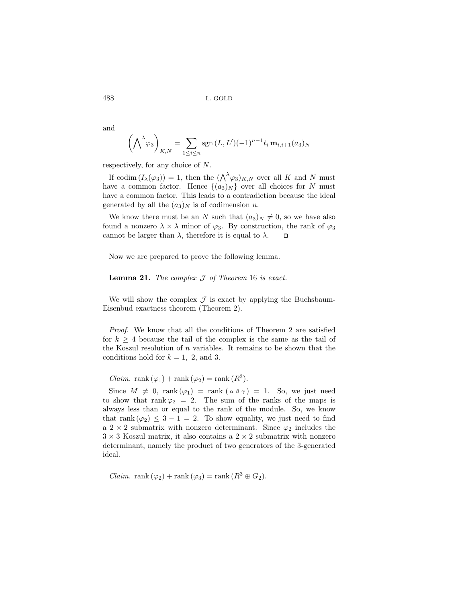and

$$
\left(\bigwedge^{\lambda}\varphi_3\right)_{K,N} = \sum_{1 \le i \le n} \operatorname{sgn}\left(L, L'\right) (-1)^{n-1} t_i \mathbf{m}_{i,i+1}(a_3)_N
$$

respectively, for any choice of N.

If codim  $(I_\lambda(\varphi_3)) = 1$ , then the  $(\bigwedge^{\lambda} \varphi_3)_{K,N}$  over all K and N must have a common factor. Hence  $\{(a_3)_N\}$  over all choices for N must have a common factor. This leads to a contradiction because the ideal generated by all the  $(a_3)_N$  is of codimension n.

We know there must be an N such that  $(a_3)_N \neq 0$ , so we have also found a nonzero  $\lambda \times \lambda$  minor of  $\varphi_3$ . By construction, the rank of  $\varphi_3$ cannot be larger than  $\lambda$ , therefore it is equal to  $\lambda$ .  $\Box$ 

Now we are prepared to prove the following lemma.

**Lemma 21.** *The complex* J *of Theorem* 16 *is exact.*

We will show the complex  $\mathcal J$  is exact by applying the Buchsbaum-Eisenbud exactness theorem (Theorem 2).

*Proof*. We know that all the conditions of Theorem 2 are satisfied for  $k \geq 4$  because the tail of the complex is the same as the tail of the Koszul resolution of  $n$  variables. It remains to be shown that the conditions hold for  $k = 1, 2,$  and 3.

*Claim.* rank  $(\varphi_1)$  + rank  $(\varphi_2)$  = rank  $(R^3)$ .

Since  $M \neq 0$ , rank  $(\varphi_1) = \text{rank}(\alpha \beta \gamma) = 1$ . So, we just need to show that rank  $\varphi_2 = 2$ . The sum of the ranks of the maps is always less than or equal to the rank of the module. So, we know that rank  $(\varphi_2) \leq 3 - 1 = 2$ . To show equality, we just need to find a 2  $\times$  2 submatrix with nonzero determinant. Since  $\varphi_2$  includes the  $3 \times 3$  Koszul matrix, it also contains a  $2 \times 2$  submatrix with nonzero determinant, namely the product of two generators of the 3-generated ideal.

*Claim.* rank  $(\varphi_2)$  + rank  $(\varphi_3)$  = rank  $(R^3 \oplus G_2)$ .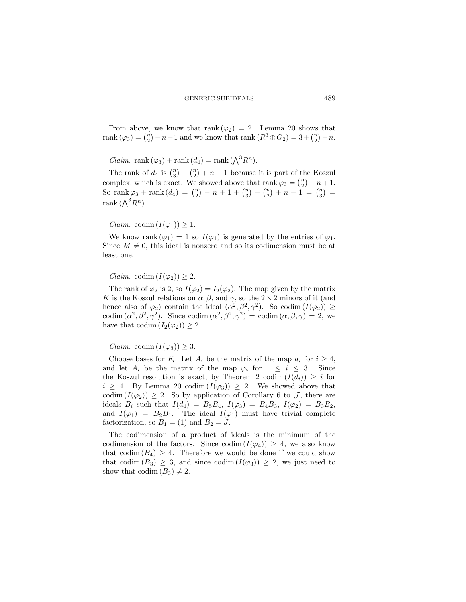From above, we know that rank  $(\varphi_2) = 2$ . Lemma 20 shows that rank  $(\varphi_3) = \binom{n}{2} - n + 1$  and we know that rank  $(R^3 \oplus G_2) = 3 + \binom{n}{2} - n$ .

*Claim.* rank  $(\varphi_3)$  + rank  $(d_4)$  = rank  $(\bigwedge^3 R^n)$ .

The rank of  $d_4$  is  $\binom{n}{3} - \binom{n}{2} + n - 1$  because it is part of the Koszul complex, which is exact. We showed above that rank  $\varphi_3 = \binom{n}{2} - n + 1$ . So rank  $\varphi_3$  + rank  $(d_4) = {n \choose 2} - n + 1 + {n \choose 3} - {n \choose 2} + n - 1 = {n \choose 3} =$ rank  $(\bigwedge^3 R^n)$ .

*Claim.* codim  $(I(\varphi_1)) \geq 1$ .

We know rank  $(\varphi_1) = 1$  so  $I(\varphi_1)$  is generated by the entries of  $\varphi_1$ . Since  $M \neq 0$ , this ideal is nonzero and so its codimension must be at least one.

*Claim.* codim  $(I(\varphi_2)) \geq 2$ .

The rank of  $\varphi_2$  is 2, so  $I(\varphi_2) = I_2(\varphi_2)$ . The map given by the matrix K is the Koszul relations on  $\alpha, \beta$ , and  $\gamma$ , so the 2 × 2 minors of it (and hence also of  $\varphi_2$ ) contain the ideal  $(\alpha^2, \beta^2, \gamma^2)$ . So codim  $(I(\varphi_2)) \ge$ codim  $(\alpha^2, \beta^2, \gamma^2)$ . Since codim  $(\alpha^2, \beta^2, \gamma^2)$  = codim  $(\alpha, \beta, \gamma)$  = 2, we have that codim  $(I_2(\varphi_2)) \geq 2$ .

*Claim.* codim  $(I(\varphi_3)) \geq 3$ .

Choose bases for  $F_i$ . Let  $A_i$  be the matrix of the map  $d_i$  for  $i \geq 4$ , and let  $A_i$  be the matrix of the map  $\varphi_i$  for  $1 \leq i \leq 3$ . Since the Koszul resolution is exact, by Theorem 2 codim  $(I(d_i)) \geq i$  for  $i \geq 4$ . By Lemma 20 codim  $(I(\varphi_3)) \geq 2$ . We showed above that codim  $(I(\varphi_2)) \geq 2$ . So by application of Corollary 6 to  $\mathcal{J}$ , there are ideals  $B_i$  such that  $I(d_4) = B_5B_4$ ,  $I(\varphi_3) = B_4B_3$ ,  $I(\varphi_2) = B_3B_2$ , and  $I(\varphi_1) = B_2B_1$ . The ideal  $I(\varphi_1)$  must have trivial complete factorization, so  $B_1 = (1)$  and  $B_2 = J$ .

The codimension of a product of ideals is the minimum of the codimension of the factors. Since codim  $(I(\varphi_4)) \geq 4$ , we also know that codim  $(B_4) \geq 4$ . Therefore we would be done if we could show that codim  $(B_3) \geq 3$ , and since codim  $(I(\varphi_3)) \geq 2$ , we just need to show that  $\text{codim}(B_3) \neq 2$ .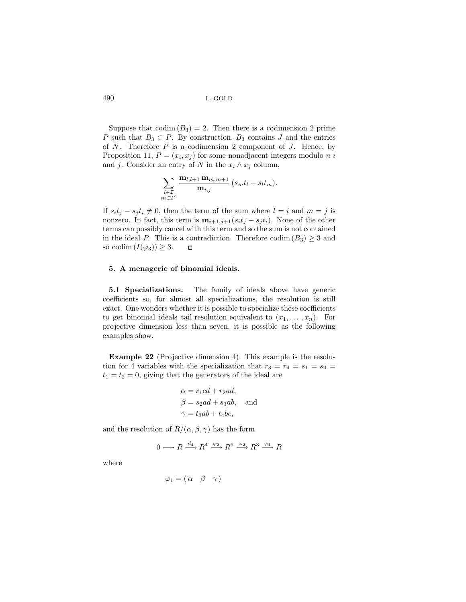Suppose that  $\text{codim}(B_3) = 2$ . Then there is a codimension 2 prime P such that  $B_3 \subset P$ . By construction,  $B_3$  contains J and the entries of  $N$ . Therefore  $P$  is a codimension 2 component of  $J$ . Hence, by Proposition 11,  $P = (x_i, x_j)$  for some nonadjacent integers modulo n i and j. Consider an entry of N in the  $x_i \wedge x_j$  column,

$$
\sum_{\substack{l\in\mathcal{I}\\m\in\mathcal{I}^c}}\frac{\mathbf{m}_{l,l+1}\,\mathbf{m}_{m,m+1}}{\mathbf{m}_{i,j}}\,(s_mt_l-s_lt_m).
$$

If  $s_i t_j - s_j t_i \neq 0$ , then the term of the sum where  $l = i$  and  $m = j$  is nonzero. In fact, this term is  $\mathbf{m}_{i+1,j+1}(s_i t_j - s_j t_i)$ . None of the other terms can possibly cancel with this term and so the sum is not contained in the ideal P. This is a contradiction. Therefore  $\text{codim}(B_3) \geq 3$  and so codim  $(I(\varphi_3)) \geq 3$ .  $\Box$ 

#### **5. A menagerie of binomial ideals.**

**5.1 Specializations.** The family of ideals above have generic coefficients so, for almost all specializations, the resolution is still exact. One wonders whether it is possible to specialize these coefficients to get binomial ideals tail resolution equivalent to  $(x_1, \ldots, x_n)$ . For projective dimension less than seven, it is possible as the following examples show.

**Example 22** (Projective dimension 4). This example is the resolution for 4 variables with the specialization that  $r_3 = r_4 = s_1 = s_4 =$  $t_1 = t_2 = 0$ , giving that the generators of the ideal are

$$
\alpha = r_1cd + r_2ad,
$$
  
\n
$$
\beta = s_2ad + s_3ab, \text{ and}
$$
  
\n
$$
\gamma = t_3ab + t_4bc,
$$

and the resolution of  $R/(\alpha, \beta, \gamma)$  has the form

$$
0 \longrightarrow R \xrightarrow{d_4} R^4 \xrightarrow{\varphi_3} R^6 \xrightarrow{\varphi_2} R^3 \xrightarrow{\varphi_1} R
$$

where

$$
\varphi_1 = (\alpha \ \beta \ \gamma)
$$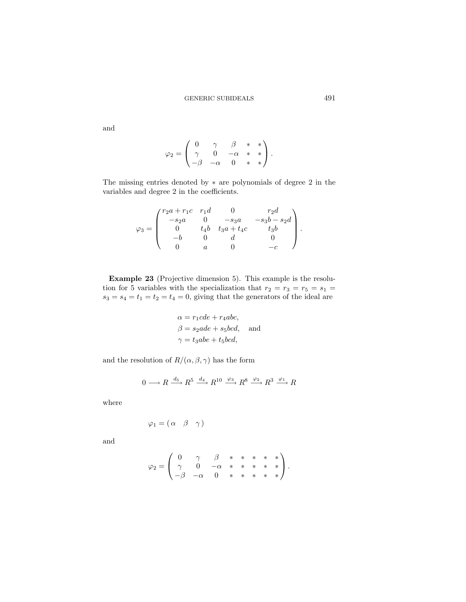$$
\varphi_2 = \begin{pmatrix} 0 & \gamma & \beta & * & * \\ \gamma & 0 & -\alpha & * & * \\ -\beta & -\alpha & 0 & * & * \end{pmatrix}.
$$

The missing entries denoted by ∗ are polynomials of degree 2 in the variables and degree 2 in the coefficients.

$$
\varphi_3 = \begin{pmatrix} r_{2}a + r_{1}c & r_{1}d & 0 & r_{2}d \\ -s_{2}a & 0 & -s_{3}a & -s_{3}b - s_{2}d \\ 0 & t_{4}b & t_{3}a + t_{4}c & t_{3}b \\ -b & 0 & d & 0 \\ 0 & a & 0 & -c \end{pmatrix}.
$$

**Example 23** (Projective dimension 5). This example is the resolution for 5 variables with the specialization that  $r_2 = r_3 = r_5 = s_1$  $s_3 = s_4 = t_1 = t_2 = t_4 = 0$ , giving that the generators of the ideal are

$$
\alpha = r_1cde + r_4abc,
$$
  
\n
$$
\beta = s_2ade + s_5bcd, \text{ and}
$$
  
\n
$$
\gamma = t_3abe + t_5bcd,
$$

and the resolution of  $R/(\alpha, \beta, \gamma)$  has the form

$$
0 \longrightarrow R \xrightarrow{d_5} R^5 \xrightarrow{d_4} R^{10} \xrightarrow{\varphi_3} R^8 \xrightarrow{\varphi_2} R^3 \xrightarrow{\varphi_1} R
$$

where

$$
\varphi_1=(\begin{matrix}\alpha&\beta&\gamma\end{matrix})
$$

and

$$
\varphi_2 = \begin{pmatrix} 0 & \gamma & \beta & * & * & * & * & * \\ \gamma & 0 & -\alpha & * & * & * & * & * \\ -\beta & -\alpha & 0 & * & * & * & * & * \end{pmatrix}.
$$

and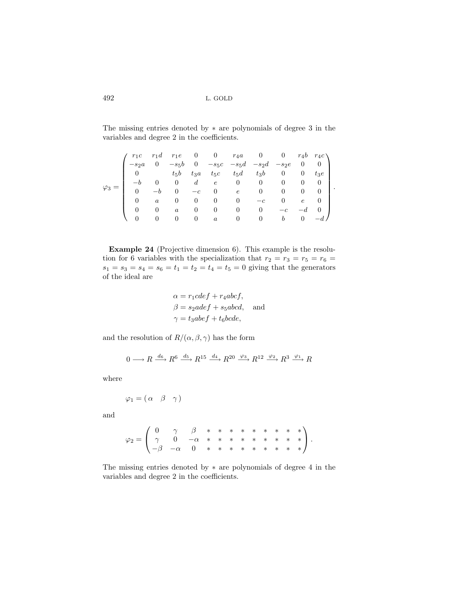The missing entries denoted by ∗ are polynomials of degree 3 in the variables and degree 2 in the coefficients.

|  | $r_1c$         |          |                  |                |                        |                |                                                                                                                                                  |                |                |          |  |
|--|----------------|----------|------------------|----------------|------------------------|----------------|--------------------------------------------------------------------------------------------------------------------------------------------------|----------------|----------------|----------|--|
|  | $-s_2a$        |          |                  |                |                        |                | $\begin{array}{ccccccccc} r_1d & r_1e & 0 & 0 & r_4a & 0 & 0 & r_4b & r_4c\cr 0 & -s_5b & 0 & -s_5c & -s_5d & -s_2d & -s_2e & 0 & 0 \end{array}$ |                |                |          |  |
|  |                |          |                  |                | 0 $t_5b$ $t_3a$ $t_5c$ |                | $t_5d$ $t_3b$ 0 0                                                                                                                                |                |                | $t_3e$   |  |
|  | $-b$           |          | $\overline{0}$   |                |                        |                | $d\qquad e\qquad 0\qquad 0$                                                                                                                      | $\overline{0}$ | $\theta$       | 0        |  |
|  | $\overline{0}$ |          |                  | $-c$           | $\overline{0}$         | $e$ 0          |                                                                                                                                                  |                | $\overline{0}$ |          |  |
|  | $\theta$       | $\alpha$ | $\theta$         | $\overline{0}$ | $\overline{0}$         | $\overline{0}$ | $-c$                                                                                                                                             |                | $\epsilon$     | $\theta$ |  |
|  | 0              | $\theta$ | $\boldsymbol{a}$ | $\theta$       | $\overline{0}$         | $\overline{0}$ | $\begin{array}{c} 0 \end{array}$                                                                                                                 | $-c$           |                |          |  |
|  |                |          |                  | $\overline{0}$ | $\overline{a}$         | $\overline{0}$ | $\overline{0}$                                                                                                                                   | b              | 0              |          |  |

**Example 24** (Projective dimension 6). This example is the resolution for 6 variables with the specialization that  $r_2 = r_3 = r_5 = r_6 =$  $s_1 = s_3 = s_4 = s_6 = t_1 = t_2 = t_4 = t_5 = 0$  giving that the generators of the ideal are

$$
\alpha = r_1cdef + r_4abcf,
$$
  
\n
$$
\beta = s_2adef + s_5abcd,
$$
 and  
\n
$$
\gamma = t_3abef + t_6bcde,
$$

and the resolution of  $R/(\alpha, \beta, \gamma)$  has the form

$$
0 \longrightarrow R \xrightarrow{d_6} R^6 \xrightarrow{d_5} R^{15} \xrightarrow{d_4} R^{20} \xrightarrow{\varphi_3} R^{12} \xrightarrow{\varphi_2} R^3 \xrightarrow{\varphi_1} R
$$

where

$$
\varphi_1 = (\alpha \ \beta \ \gamma)
$$

and

$$
\varphi_2 = \left(\begin{array}{ccccccccc} 0 & \gamma & \beta & * & * & * & * & * & * & * & * \\ \gamma & 0 & -\alpha & * & * & * & * & * & * & * & * \\ -\beta & -\alpha & 0 & * & * & * & * & * & * & * & * \end{array}\right).
$$

The missing entries denoted by ∗ are polynomials of degree 4 in the variables and degree 2 in the coefficients.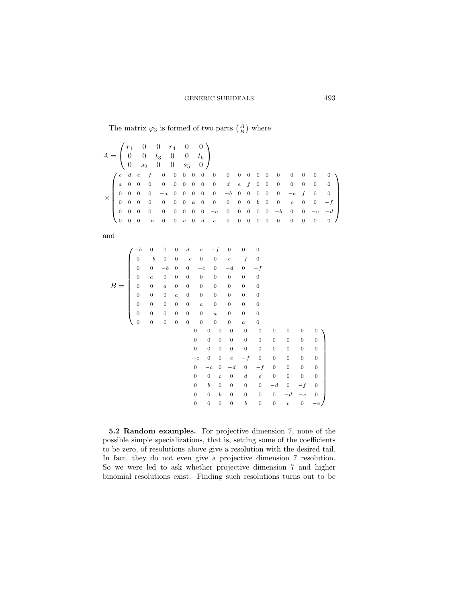The matrix  $\varphi_3$  is formed of two parts  $\left(\frac{A}{B}\right)$  where

|  |  |  | $A = \begin{pmatrix} r_1 & 0 & 0 & r_4 & 0 & 0 \ 0 & 0 & t_3 & 0 & 0 & t_6 \ 0 & s_2 & 0 & 0 & s_5 & 0 \end{pmatrix}$ |  |  |  |  |  |  |  |  |
|--|--|--|-----------------------------------------------------------------------------------------------------------------------|--|--|--|--|--|--|--|--|
|  |  |  |                                                                                                                       |  |  |  |  |  |  |  |  |
|  |  |  |                                                                                                                       |  |  |  |  |  |  |  |  |
|  |  |  |                                                                                                                       |  |  |  |  |  |  |  |  |
|  |  |  |                                                                                                                       |  |  |  |  |  |  |  |  |
|  |  |  |                                                                                                                       |  |  |  |  |  |  |  |  |
|  |  |  |                                                                                                                       |  |  |  |  |  |  |  |  |

and

$$
B = \begin{pmatrix}\n-b & 0 & 0 & 0 & d & e & -f & 0 & 0 & 0 \\
0 & -b & 0 & 0 & -c & 0 & 0 & e & -f & 0 \\
0 & 0 & -b & 0 & 0 & -c & 0 & -d & 0 & -f \\
0 & a & 0 & 0 & 0 & 0 & 0 & 0 & 0 & 0 \\
0 & 0 & a & 0 & 0 & 0 & 0 & 0 & 0 & 0 \\
0 & 0 & 0 & a & 0 & 0 & 0 & 0 & 0 & 0 \\
0 & 0 & 0 & 0 & 0 & a & 0 & 0 & 0 & 0 \\
0 & 0 & 0 & 0 & 0 & 0 & 0 & 0 & 0 & 0 & 0 \\
0 & 0 & 0 & 0 & 0 & 0 & 0 & 0 & 0 & 0 & 0 & 0 \\
0 & 0 & 0 & 0 & 0 & 0 & 0 & 0 & 0 & 0 & 0 & 0 \\
0 & 0 & 0 & 0 & 0 & 0 & 0 & 0 & 0 & 0 & 0 & 0 \\
0 & 0 & 0 & 0 & 0 & 0 & 0 & 0 & 0 & 0 & 0 & 0 \\
0 & 0 & c & 0 & d & e & 0 & 0 & 0 & 0 & 0 \\
0 & 0 & 0 & 0 & 0 & 0 & 0 & -d & 0 & -f & 0 \\
0 & 0 & 0 & 0 & 0 & 0 & 0 & 0 & -d & -e & 0 \\
0 & 0 & 0 & 0 & 0 & 0 & 0 & 0 & c & 0 & -e\n\end{pmatrix}
$$

**5.2 Random examples.** For projective dimension 7, none of the possible simple specializations, that is, setting some of the coefficients to be zero, of resolutions above give a resolution with the desired tail. In fact, they do not even give a projective dimension 7 resolution. So we were led to ask whether projective dimension 7 and higher binomial resolutions exist. Finding such resolutions turns out to be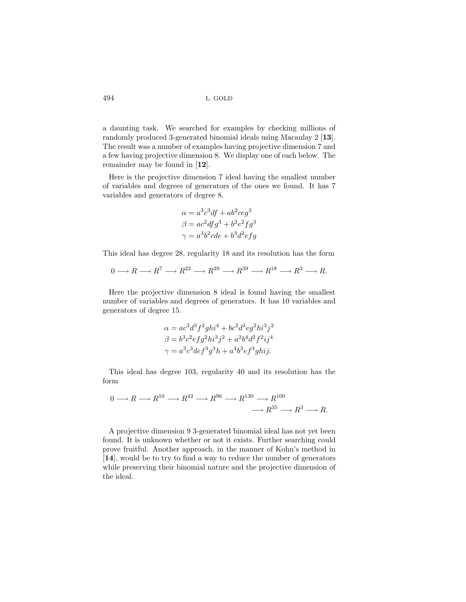a daunting task. We searched for examples by checking millions of randomly produced 3-generated binomial ideals using Macaulay 2 [**13**]. The result was a number of examples having projective dimension 7 and a few having projective dimension 8. We display one of each below. The remainder may be found in [**12**].

Here is the projective dimension 7 ideal having the smallest number of variables and degrees of generators of the ones we found. It has 7 variables and generators of degree 8.

$$
\alpha = a^3 c^3 df + ab^2 c e g^3
$$
  

$$
\beta = ac^2 df g^3 + b^2 e^2 f g^3
$$
  

$$
\gamma = a^3 b^2 c de + b^3 d^2 e f g
$$

This ideal has degree 28, regularity 18 and its resolution has the form

$$
0 \longrightarrow R \longrightarrow R^7 \longrightarrow R^{22} \longrightarrow R^{39} \longrightarrow R^{39} \longrightarrow R^{18} \longrightarrow R^3 \longrightarrow R.
$$

Here the projective dimension 8 ideal is found having the smallest number of variables and degrees of generators. It has 10 variables and generators of degree 15.

$$
\alpha = ac^3d^3f^2ghi^4 + bc^2d^3eg^2hi^3j^2 \n\beta = b^3c^2efg^2hi^3j^2 + a^2b^4d^2f^2ij^4 \n\gamma = a^3c^3def^3g^3h + a^4b^3ef^3ghij.
$$

This ideal has degree 103, regularity 40 and its resolution has the form

$$
0 \longrightarrow R \longrightarrow R^{10} \longrightarrow R^{42} \longrightarrow R^{96} \longrightarrow R^{130} \longrightarrow R^{100}
$$

$$
\longrightarrow R^{35} \longrightarrow R^3 \longrightarrow R.
$$

A projective dimension 9 3-generated binomial ideal has not yet been found. It is unknown whether or not it exists. Further searching could prove fruitful. Another approach, in the manner of Kohn's method in [**14**], would be to try to find a way to reduce the number of generators while preserving their binomial nature and the projective dimension of the ideal.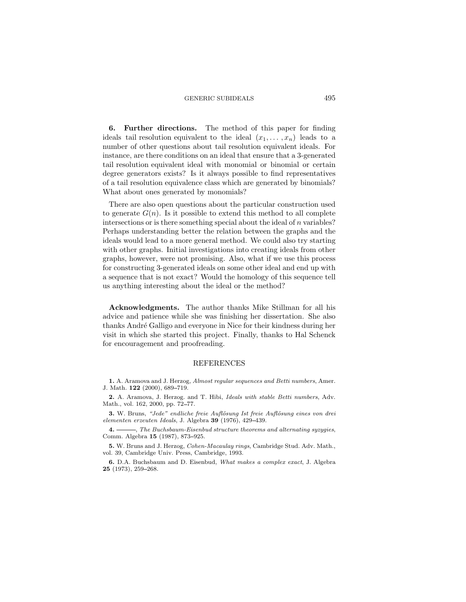**6. Further directions.** The method of this paper for finding ideals tail resolution equivalent to the ideal  $(x_1, \ldots, x_n)$  leads to a number of other questions about tail resolution equivalent ideals. For instance, are there conditions on an ideal that ensure that a 3-generated tail resolution equivalent ideal with monomial or binomial or certain degree generators exists? Is it always possible to find representatives of a tail resolution equivalence class which are generated by binomials? What about ones generated by monomials?

There are also open questions about the particular construction used to generate  $G(n)$ . Is it possible to extend this method to all complete intersections or is there something special about the ideal of  $n$  variables? Perhaps understanding better the relation between the graphs and the ideals would lead to a more general method. We could also try starting with other graphs. Initial investigations into creating ideals from other graphs, however, were not promising. Also, what if we use this process for constructing 3-generated ideals on some other ideal and end up with a sequence that is not exact? Would the homology of this sequence tell us anything interesting about the ideal or the method?

**Acknowledgments.** The author thanks Mike Stillman for all his advice and patience while she was finishing her dissertation. She also thanks André Galligo and everyone in Nice for their kindness during her visit in which she started this project. Finally, thanks to Hal Schenck for encouragement and proofreading.

#### REFERENCES

**1.** A. Aramova and J. Herzog, *Almost regular sequences and Betti numbers*, Amer. J. Math. **122** (2000), 689-719.

**2.** A. Aramova, J. Herzog. and T. Hibi, *Ideals with stable Betti numbers*, Adv. Math., vol. 162, 2000, pp. 72-77.

**3.** W. Bruns, "Jede" endliche freie Auflösung Ist freie Auflösung eines von drei *elementen erzeuten Ideals*, J. Algebra **39** (1976), 429 439.

**4.** , *The Buchsbaum-Eisenbud structure theorems and alternating syzygies*, Comm. Algebra 15 (1987), 873-925.

**5.** W. Bruns and J. Herzog, *Cohen-Macaulay rings*, Cambridge Stud. Adv. Math., vol. 39, Cambridge Univ. Press, Cambridge, 1993.

**6.** D.A. Buchsbaum and D. Eisenbud, *What makes a complex exact*, J. Algebra **25** (1973), 259-268.